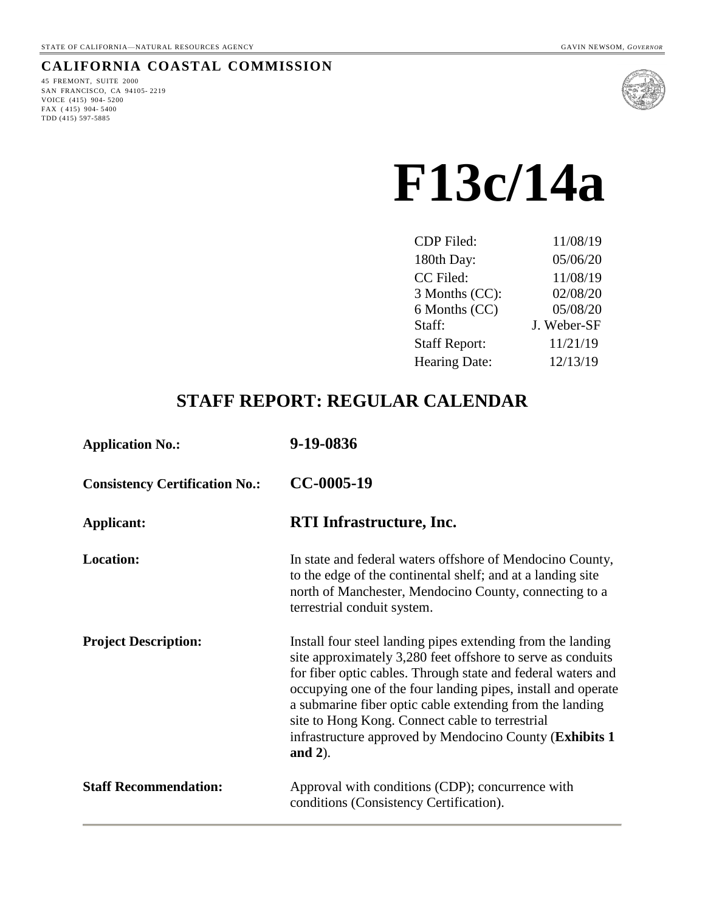# **CALIFORNIA COASTAL COMMISSION**

45 FREMONT, SUITE 2000 SAN FRANCISCO, CA 94105- 2219 VOICE (415) 904- 5200 FAX ( 415) 904- 5400 TDD (415) 597-5885



# **F13c/14a**

| <b>CDP</b> Filed:    | 11/08/19    |
|----------------------|-------------|
| 180th Day:           | 05/06/20    |
| CC Filed:            | 11/08/19    |
| 3 Months (CC):       | 02/08/20    |
| 6 Months (CC)        | 05/08/20    |
| Staff:               | J. Weber-SF |
| <b>Staff Report:</b> | 11/21/19    |
| <b>Hearing Date:</b> | 12/13/19    |
|                      |             |

# **STAFF REPORT: REGULAR CALENDAR**

| <b>Application No.:</b>               | 9-19-0836                                                                                                                                                                                                                                                                                                                                                                                                                                           |
|---------------------------------------|-----------------------------------------------------------------------------------------------------------------------------------------------------------------------------------------------------------------------------------------------------------------------------------------------------------------------------------------------------------------------------------------------------------------------------------------------------|
| <b>Consistency Certification No.:</b> | CC-0005-19                                                                                                                                                                                                                                                                                                                                                                                                                                          |
| Applicant:                            | <b>RTI</b> Infrastructure, Inc.                                                                                                                                                                                                                                                                                                                                                                                                                     |
| <b>Location:</b>                      | In state and federal waters offshore of Mendocino County,<br>to the edge of the continental shelf; and at a landing site<br>north of Manchester, Mendocino County, connecting to a<br>terrestrial conduit system.                                                                                                                                                                                                                                   |
| <b>Project Description:</b>           | Install four steel landing pipes extending from the landing<br>site approximately 3,280 feet offshore to serve as conduits<br>for fiber optic cables. Through state and federal waters and<br>occupying one of the four landing pipes, install and operate<br>a submarine fiber optic cable extending from the landing<br>site to Hong Kong. Connect cable to terrestrial<br>infrastructure approved by Mendocino County (Exhibits 1)<br>and $2$ ). |
| <b>Staff Recommendation:</b>          | Approval with conditions (CDP); concurrence with<br>conditions (Consistency Certification).                                                                                                                                                                                                                                                                                                                                                         |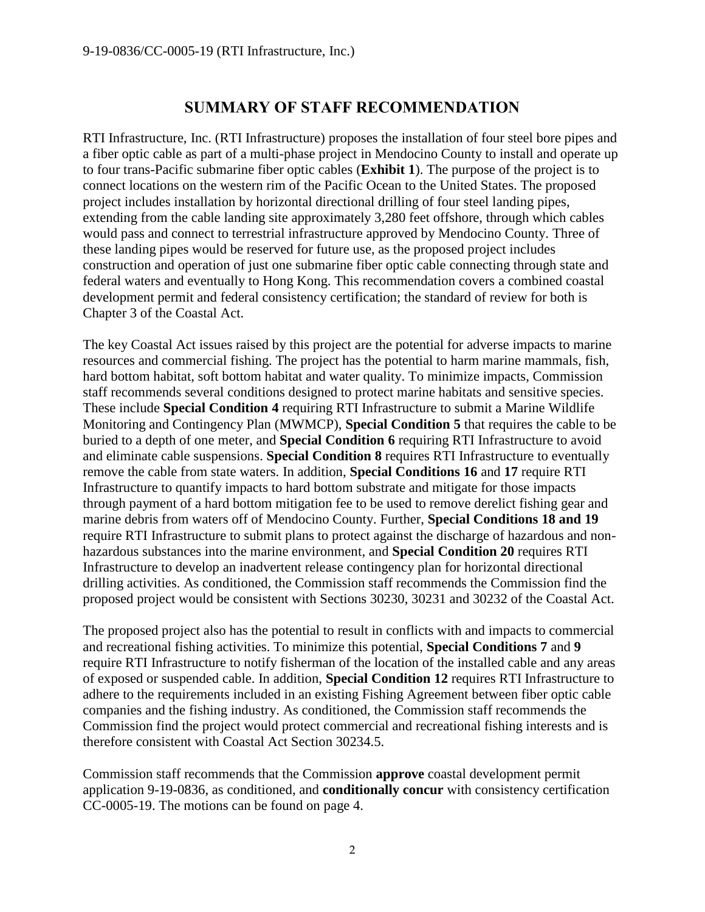# **SUMMARY OF STAFF RECOMMENDATION**

RTI Infrastructure, Inc. (RTI Infrastructure) proposes the installation of four steel bore pipes and a fiber optic cable as part of a multi-phase project in Mendocino County to install and operate up to four trans-Pacific submarine fiber optic cables (**Exhibit 1**). The purpose of the project is to connect locations on the western rim of the Pacific Ocean to the United States. The proposed project includes installation by horizontal directional drilling of four steel landing pipes, extending from the cable landing site approximately 3,280 feet offshore, through which cables would pass and connect to terrestrial infrastructure approved by Mendocino County. Three of these landing pipes would be reserved for future use, as the proposed project includes construction and operation of just one submarine fiber optic cable connecting through state and federal waters and eventually to Hong Kong. This recommendation covers a combined coastal development permit and federal consistency certification; the standard of review for both is Chapter 3 of the Coastal Act.

The key Coastal Act issues raised by this project are the potential for adverse impacts to marine resources and commercial fishing. The project has the potential to harm marine mammals, fish, hard bottom habitat, soft bottom habitat and water quality. To minimize impacts, Commission staff recommends several conditions designed to protect marine habitats and sensitive species. These include **Special Condition 4** requiring RTI Infrastructure to submit a Marine Wildlife Monitoring and Contingency Plan (MWMCP), **Special Condition 5** that requires the cable to be buried to a depth of one meter, and **Special Condition 6** requiring RTI Infrastructure to avoid and eliminate cable suspensions. **Special Condition 8** requires RTI Infrastructure to eventually remove the cable from state waters. In addition, **Special Conditions 16** and **17** require RTI Infrastructure to quantify impacts to hard bottom substrate and mitigate for those impacts through payment of a hard bottom mitigation fee to be used to remove derelict fishing gear and marine debris from waters off of Mendocino County. Further, **Special Conditions 18 and 19** require RTI Infrastructure to submit plans to protect against the discharge of hazardous and nonhazardous substances into the marine environment, and **Special Condition 20** requires RTI Infrastructure to develop an inadvertent release contingency plan for horizontal directional drilling activities. As conditioned, the Commission staff recommends the Commission find the proposed project would be consistent with Sections 30230, 30231 and 30232 of the Coastal Act.

The proposed project also has the potential to result in conflicts with and impacts to commercial and recreational fishing activities. To minimize this potential, **Special Conditions 7** and **9** require RTI Infrastructure to notify fisherman of the location of the installed cable and any areas of exposed or suspended cable. In addition, **Special Condition 12** requires RTI Infrastructure to adhere to the requirements included in an existing Fishing Agreement between fiber optic cable companies and the fishing industry. As conditioned, the Commission staff recommends the Commission find the project would protect commercial and recreational fishing interests and is therefore consistent with Coastal Act Section 30234.5.

Commission staff recommends that the Commission **approve** coastal development permit application 9-19-0836, as conditioned, and **conditionally concur** with consistency certification CC-0005-19. The motions can be found on page 4.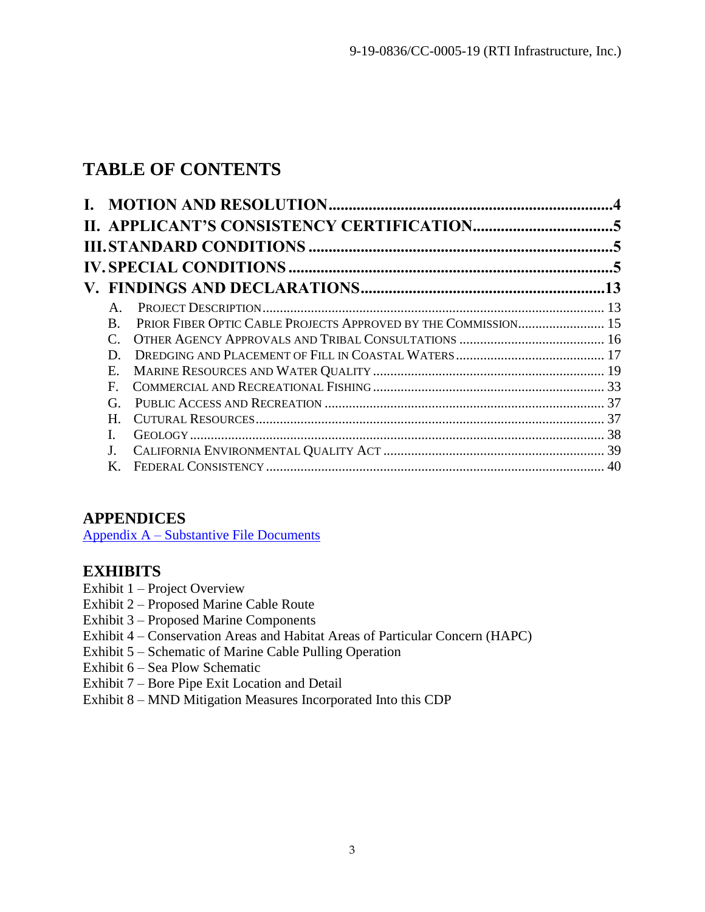# **TABLE OF CONTENTS**

| $A_{\cdot}$           |                                                                |  |
|-----------------------|----------------------------------------------------------------|--|
| $\mathbf{B}$ .        | PRIOR FIBER OPTIC CABLE PROJECTS APPROVED BY THE COMMISSION 15 |  |
| $\mathcal{C}_{\cdot}$ |                                                                |  |
| D.                    |                                                                |  |
| E.                    |                                                                |  |
| E                     |                                                                |  |
| G.                    |                                                                |  |
| H.                    |                                                                |  |
|                       |                                                                |  |
| $J_{-}$               |                                                                |  |
| Κ.                    |                                                                |  |
|                       |                                                                |  |

# **APPENDICES**

Appendix A – [Substantive File Documents](#page-41-0)

# **EXHIBITS**

- Exhibit 1 Project Overview
- Exhibit 2 Proposed Marine Cable Route
- Exhibit 3 Proposed Marine Components
- Exhibit 4 Conservation Areas and Habitat Areas of Particular Concern (HAPC)
- Exhibit 5 Schematic of Marine Cable Pulling Operation
- Exhibit 6 Sea Plow Schematic
- Exhibit 7 Bore Pipe Exit Location and Detail
- <span id="page-2-0"></span>Exhibit 8 – MND Mitigation Measures Incorporated Into this CDP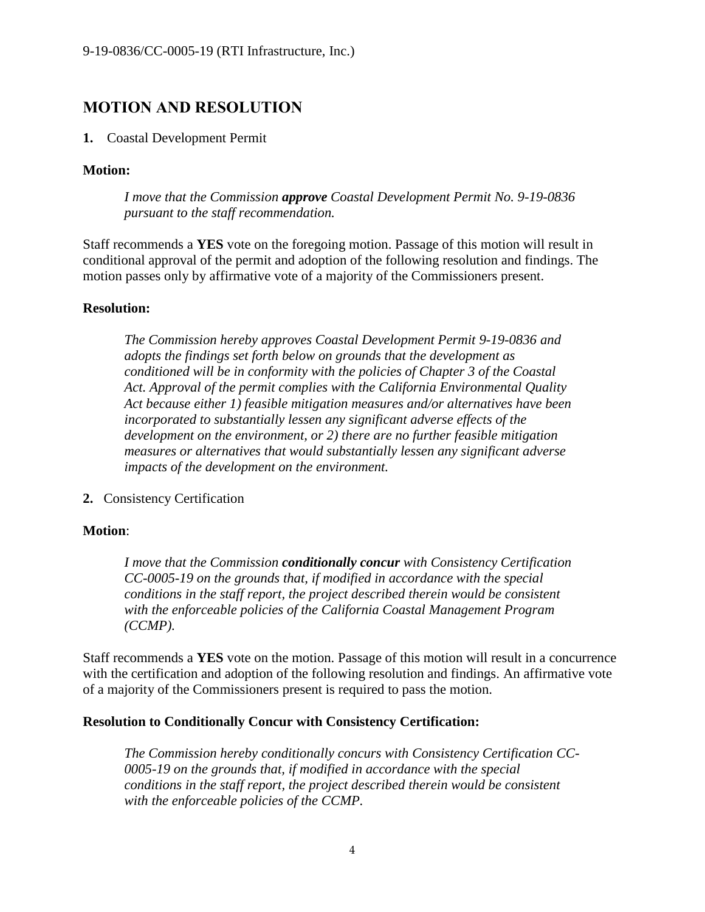# **MOTION AND RESOLUTION**

#### **1.** Coastal Development Permit

#### **Motion:**

*I move that the Commission approve Coastal Development Permit No. 9-19-0836 pursuant to the staff recommendation.*

Staff recommends a **YES** vote on the foregoing motion. Passage of this motion will result in conditional approval of the permit and adoption of the following resolution and findings. The motion passes only by affirmative vote of a majority of the Commissioners present.

#### **Resolution:**

*The Commission hereby approves Coastal Development Permit 9-19-0836 and adopts the findings set forth below on grounds that the development as conditioned will be in conformity with the policies of Chapter 3 of the Coastal Act. Approval of the permit complies with the California Environmental Quality Act because either 1) feasible mitigation measures and/or alternatives have been incorporated to substantially lessen any significant adverse effects of the development on the environment, or 2) there are no further feasible mitigation measures or alternatives that would substantially lessen any significant adverse impacts of the development on the environment.*

**2.** Consistency Certification

## **Motion**:

*I move that the Commission conditionally concur with Consistency Certification CC-0005-19 on the grounds that, if modified in accordance with the special conditions in the staff report, the project described therein would be consistent with the enforceable policies of the California Coastal Management Program (CCMP).*

Staff recommends a **YES** vote on the motion. Passage of this motion will result in a concurrence with the certification and adoption of the following resolution and findings. An affirmative vote of a majority of the Commissioners present is required to pass the motion.

#### **Resolution to Conditionally Concur with Consistency Certification:**

*The Commission hereby conditionally concurs with Consistency Certification CC-0005-19 on the grounds that, if modified in accordance with the special conditions in the staff report, the project described therein would be consistent with the enforceable policies of the CCMP.*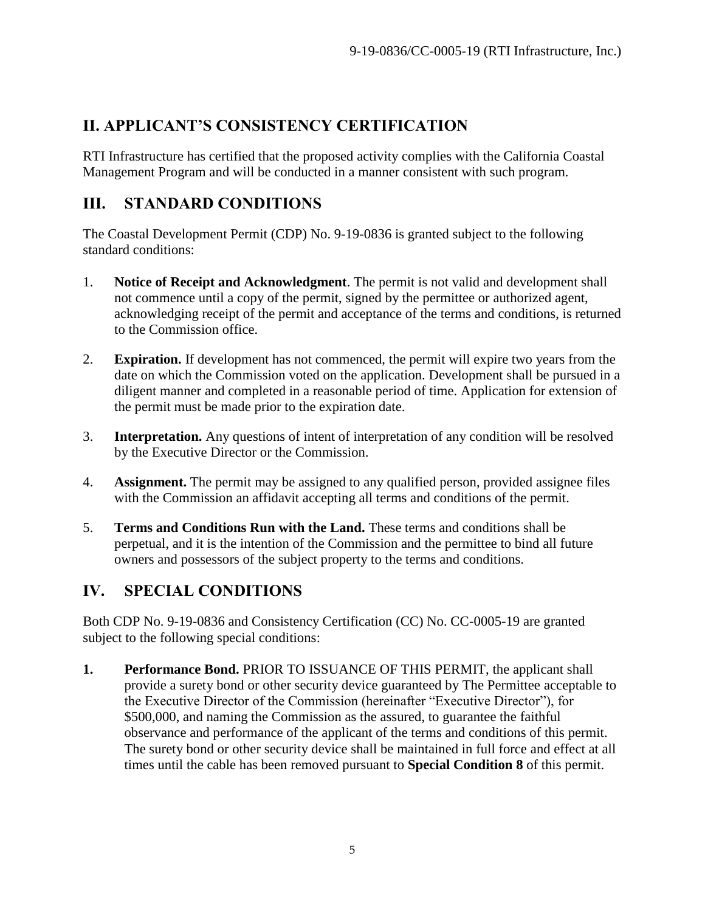# <span id="page-4-0"></span>**II. APPLICANT'S CONSISTENCY CERTIFICATION**

RTI Infrastructure has certified that the proposed activity complies with the California Coastal Management Program and will be conducted in a manner consistent with such program.

# <span id="page-4-1"></span>**III. STANDARD CONDITIONS**

The Coastal Development Permit (CDP) No. 9-19-0836 is granted subject to the following standard conditions:

- 1. **Notice of Receipt and Acknowledgment**. The permit is not valid and development shall not commence until a copy of the permit, signed by the permittee or authorized agent, acknowledging receipt of the permit and acceptance of the terms and conditions, is returned to the Commission office.
- 2. **Expiration.** If development has not commenced, the permit will expire two years from the date on which the Commission voted on the application. Development shall be pursued in a diligent manner and completed in a reasonable period of time. Application for extension of the permit must be made prior to the expiration date.
- 3. **Interpretation.** Any questions of intent of interpretation of any condition will be resolved by the Executive Director or the Commission.
- 4. **Assignment.** The permit may be assigned to any qualified person, provided assignee files with the Commission an affidavit accepting all terms and conditions of the permit.
- 5. **Terms and Conditions Run with the Land.** These terms and conditions shall be perpetual, and it is the intention of the Commission and the permittee to bind all future owners and possessors of the subject property to the terms and conditions.

# <span id="page-4-2"></span>**IV. SPECIAL CONDITIONS**

Both CDP No. 9-19-0836 and Consistency Certification (CC) No. CC-0005-19 are granted subject to the following special conditions:

**1. Performance Bond.** PRIOR TO ISSUANCE OF THIS PERMIT, the applicant shall provide a surety bond or other security device guaranteed by The Permittee acceptable to the Executive Director of the Commission (hereinafter "Executive Director"), for \$500,000, and naming the Commission as the assured, to guarantee the faithful observance and performance of the applicant of the terms and conditions of this permit. The surety bond or other security device shall be maintained in full force and effect at all times until the cable has been removed pursuant to **Special Condition 8** of this permit.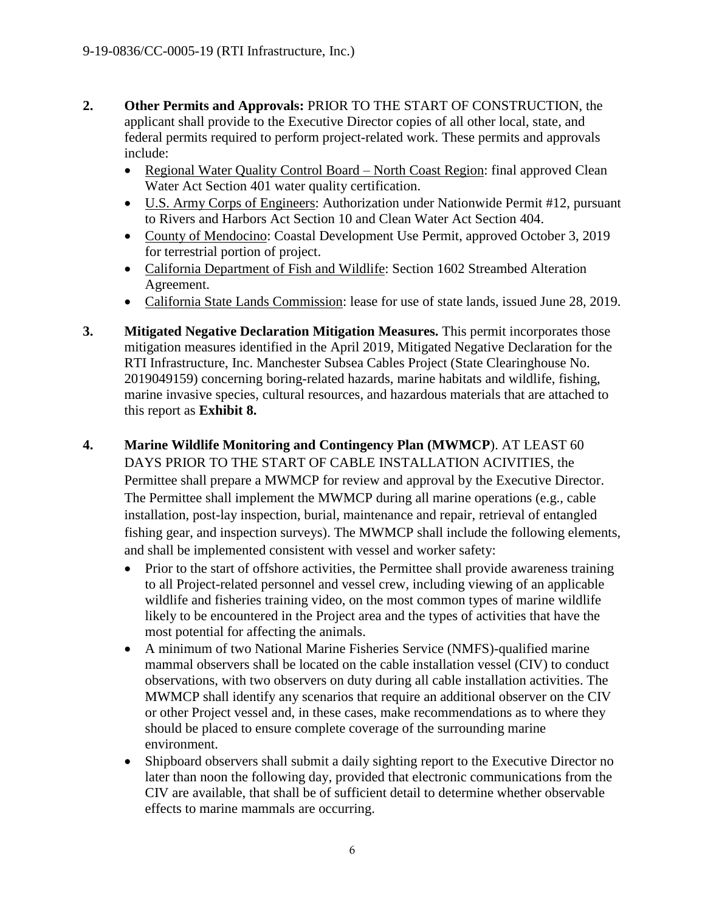- **2. Other Permits and Approvals:** PRIOR TO THE START OF CONSTRUCTION, the applicant shall provide to the Executive Director copies of all other local, state, and federal permits required to perform project-related work. These permits and approvals include:
	- Regional Water Quality Control Board North Coast Region: final approved Clean Water Act Section 401 water quality certification.
	- U.S. Army Corps of Engineers: Authorization under Nationwide Permit #12, pursuant to Rivers and Harbors Act Section 10 and Clean Water Act Section 404.
	- County of Mendocino: Coastal Development Use Permit, approved October 3, 2019 for terrestrial portion of project.
	- California Department of Fish and Wildlife: Section 1602 Streambed Alteration Agreement.
	- California State Lands Commission: lease for use of state lands, issued June 28, 2019.
- **3. Mitigated Negative Declaration Mitigation Measures.** This permit incorporates those mitigation measures identified in the April 2019, Mitigated Negative Declaration for the RTI Infrastructure, Inc. Manchester Subsea Cables Project (State Clearinghouse No. 2019049159) concerning boring-related hazards, marine habitats and wildlife, fishing, marine invasive species, cultural resources, and hazardous materials that are attached to this report as **Exhibit 8.**
- **4. Marine Wildlife Monitoring and Contingency Plan (MWMCP**). AT LEAST 60 DAYS PRIOR TO THE START OF CABLE INSTALLATION ACIVITIES, the Permittee shall prepare a MWMCP for review and approval by the Executive Director. The Permittee shall implement the MWMCP during all marine operations (e.g., cable installation, post-lay inspection, burial, maintenance and repair, retrieval of entangled fishing gear, and inspection surveys). The MWMCP shall include the following elements, and shall be implemented consistent with vessel and worker safety:
	- Prior to the start of offshore activities, the Permittee shall provide awareness training to all Project-related personnel and vessel crew, including viewing of an applicable wildlife and fisheries training video, on the most common types of marine wildlife likely to be encountered in the Project area and the types of activities that have the most potential for affecting the animals.
	- A minimum of two National Marine Fisheries Service (NMFS)-qualified marine mammal observers shall be located on the cable installation vessel (CIV) to conduct observations, with two observers on duty during all cable installation activities. The MWMCP shall identify any scenarios that require an additional observer on the CIV or other Project vessel and, in these cases, make recommendations as to where they should be placed to ensure complete coverage of the surrounding marine environment.
	- Shipboard observers shall submit a daily sighting report to the Executive Director no later than noon the following day, provided that electronic communications from the CIV are available, that shall be of sufficient detail to determine whether observable effects to marine mammals are occurring.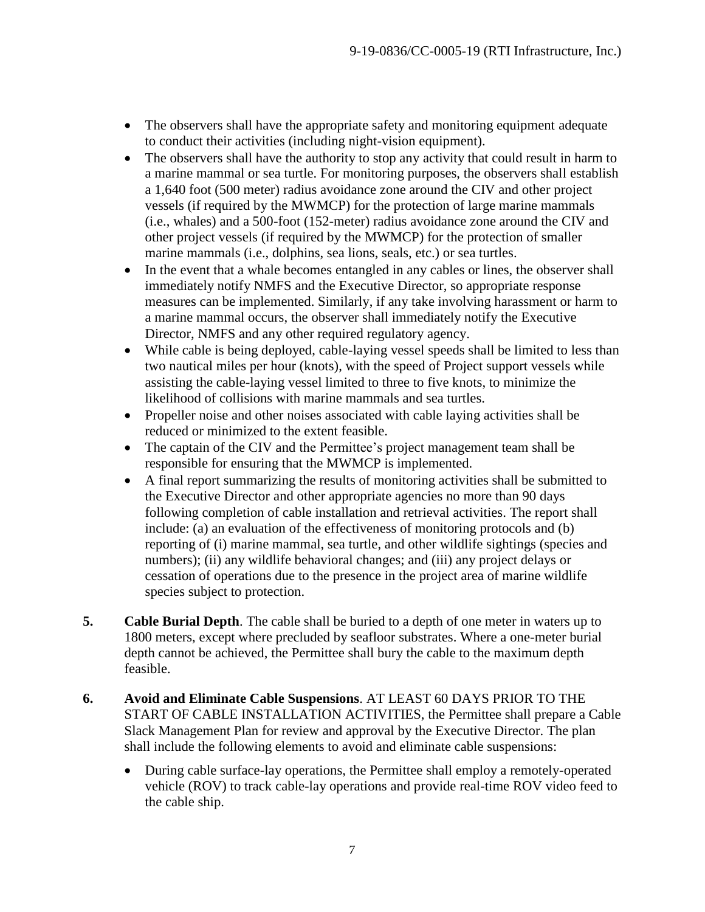- The observers shall have the appropriate safety and monitoring equipment adequate to conduct their activities (including night-vision equipment).
- The observers shall have the authority to stop any activity that could result in harm to a marine mammal or sea turtle. For monitoring purposes, the observers shall establish a 1,640 foot (500 meter) radius avoidance zone around the CIV and other project vessels (if required by the MWMCP) for the protection of large marine mammals (i.e., whales) and a 500-foot (152-meter) radius avoidance zone around the CIV and other project vessels (if required by the MWMCP) for the protection of smaller marine mammals (i.e., dolphins, sea lions, seals, etc.) or sea turtles.
- In the event that a whale becomes entangled in any cables or lines, the observer shall immediately notify NMFS and the Executive Director, so appropriate response measures can be implemented. Similarly, if any take involving harassment or harm to a marine mammal occurs, the observer shall immediately notify the Executive Director, NMFS and any other required regulatory agency.
- While cable is being deployed, cable-laying vessel speeds shall be limited to less than two nautical miles per hour (knots), with the speed of Project support vessels while assisting the cable-laying vessel limited to three to five knots, to minimize the likelihood of collisions with marine mammals and sea turtles.
- Propeller noise and other noises associated with cable laying activities shall be reduced or minimized to the extent feasible.
- The captain of the CIV and the Permittee's project management team shall be responsible for ensuring that the MWMCP is implemented.
- A final report summarizing the results of monitoring activities shall be submitted to the Executive Director and other appropriate agencies no more than 90 days following completion of cable installation and retrieval activities. The report shall include: (a) an evaluation of the effectiveness of monitoring protocols and (b) reporting of (i) marine mammal, sea turtle, and other wildlife sightings (species and numbers); (ii) any wildlife behavioral changes; and (iii) any project delays or cessation of operations due to the presence in the project area of marine wildlife species subject to protection.
- **5. Cable Burial Depth**. The cable shall be buried to a depth of one meter in waters up to 1800 meters, except where precluded by seafloor substrates. Where a one-meter burial depth cannot be achieved, the Permittee shall bury the cable to the maximum depth feasible.
- **6. Avoid and Eliminate Cable Suspensions**. AT LEAST 60 DAYS PRIOR TO THE START OF CABLE INSTALLATION ACTIVITIES, the Permittee shall prepare a Cable Slack Management Plan for review and approval by the Executive Director. The plan shall include the following elements to avoid and eliminate cable suspensions:
	- During cable surface-lay operations, the Permittee shall employ a remotely-operated vehicle (ROV) to track cable-lay operations and provide real-time ROV video feed to the cable ship.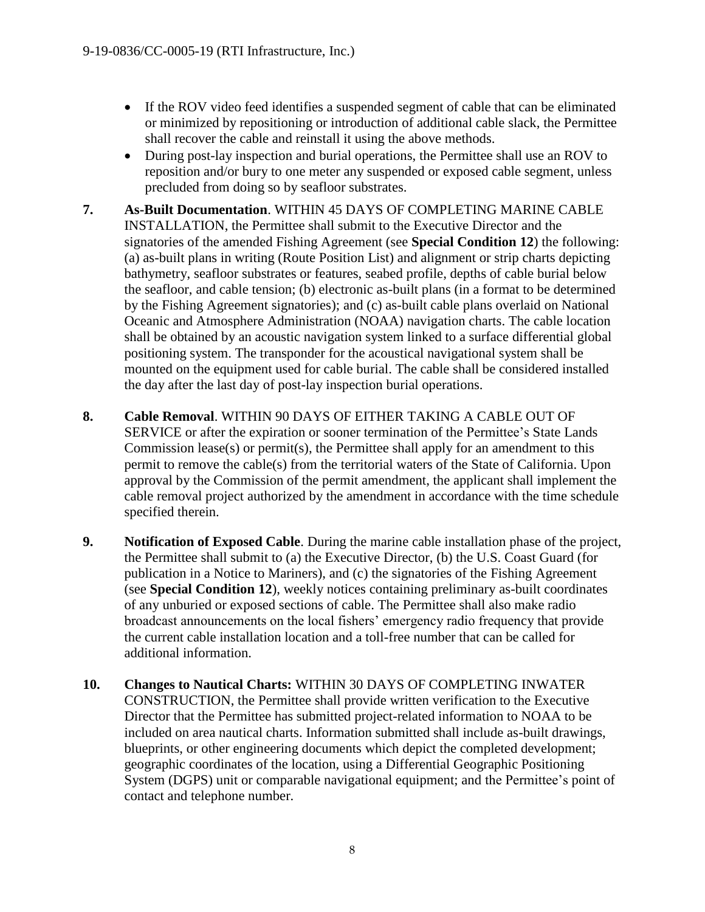- If the ROV video feed identifies a suspended segment of cable that can be eliminated or minimized by repositioning or introduction of additional cable slack, the Permittee shall recover the cable and reinstall it using the above methods.
- During post-lay inspection and burial operations, the Permittee shall use an ROV to reposition and/or bury to one meter any suspended or exposed cable segment, unless precluded from doing so by seafloor substrates.
- **7. As-Built Documentation**. WITHIN 45 DAYS OF COMPLETING MARINE CABLE INSTALLATION, the Permittee shall submit to the Executive Director and the signatories of the amended Fishing Agreement (see **Special Condition 12**) the following: (a) as-built plans in writing (Route Position List) and alignment or strip charts depicting bathymetry, seafloor substrates or features, seabed profile, depths of cable burial below the seafloor, and cable tension; (b) electronic as-built plans (in a format to be determined by the Fishing Agreement signatories); and (c) as-built cable plans overlaid on National Oceanic and Atmosphere Administration (NOAA) navigation charts. The cable location shall be obtained by an acoustic navigation system linked to a surface differential global positioning system. The transponder for the acoustical navigational system shall be mounted on the equipment used for cable burial. The cable shall be considered installed the day after the last day of post-lay inspection burial operations.
- **8. Cable Removal**. WITHIN 90 DAYS OF EITHER TAKING A CABLE OUT OF SERVICE or after the expiration or sooner termination of the Permittee's State Lands Commission lease(s) or permit(s), the Permittee shall apply for an amendment to this permit to remove the cable(s) from the territorial waters of the State of California. Upon approval by the Commission of the permit amendment, the applicant shall implement the cable removal project authorized by the amendment in accordance with the time schedule specified therein.
- **9. Notification of Exposed Cable**. During the marine cable installation phase of the project, the Permittee shall submit to (a) the Executive Director, (b) the U.S. Coast Guard (for publication in a Notice to Mariners), and (c) the signatories of the Fishing Agreement (see **Special Condition 12**), weekly notices containing preliminary as-built coordinates of any unburied or exposed sections of cable. The Permittee shall also make radio broadcast announcements on the local fishers' emergency radio frequency that provide the current cable installation location and a toll-free number that can be called for additional information.
- **10. Changes to Nautical Charts:** WITHIN 30 DAYS OF COMPLETING INWATER CONSTRUCTION, the Permittee shall provide written verification to the Executive Director that the Permittee has submitted project-related information to NOAA to be included on area nautical charts. Information submitted shall include as-built drawings, blueprints, or other engineering documents which depict the completed development; geographic coordinates of the location, using a Differential Geographic Positioning System (DGPS) unit or comparable navigational equipment; and the Permittee's point of contact and telephone number.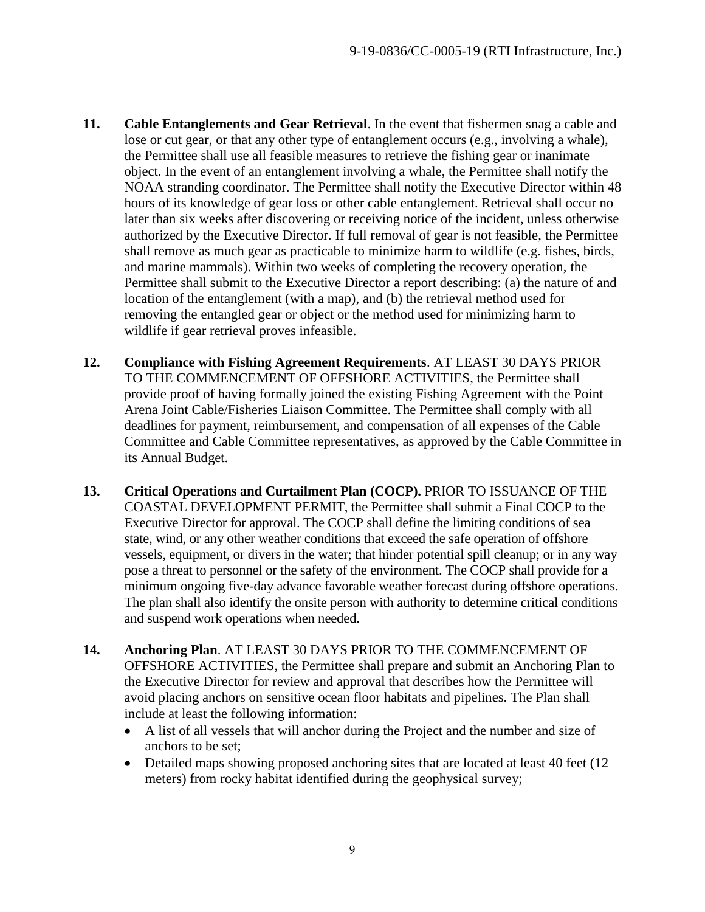- **11. Cable Entanglements and Gear Retrieval**. In the event that fishermen snag a cable and lose or cut gear, or that any other type of entanglement occurs (e.g., involving a whale), the Permittee shall use all feasible measures to retrieve the fishing gear or inanimate object. In the event of an entanglement involving a whale, the Permittee shall notify the NOAA stranding coordinator. The Permittee shall notify the Executive Director within 48 hours of its knowledge of gear loss or other cable entanglement. Retrieval shall occur no later than six weeks after discovering or receiving notice of the incident, unless otherwise authorized by the Executive Director. If full removal of gear is not feasible, the Permittee shall remove as much gear as practicable to minimize harm to wildlife (e.g. fishes, birds, and marine mammals). Within two weeks of completing the recovery operation, the Permittee shall submit to the Executive Director a report describing: (a) the nature of and location of the entanglement (with a map), and (b) the retrieval method used for removing the entangled gear or object or the method used for minimizing harm to wildlife if gear retrieval proves infeasible.
- **12. Compliance with Fishing Agreement Requirements**. AT LEAST 30 DAYS PRIOR TO THE COMMENCEMENT OF OFFSHORE ACTIVITIES, the Permittee shall provide proof of having formally joined the existing Fishing Agreement with the Point Arena Joint Cable/Fisheries Liaison Committee. The Permittee shall comply with all deadlines for payment, reimbursement, and compensation of all expenses of the Cable Committee and Cable Committee representatives, as approved by the Cable Committee in its Annual Budget.
- **13. Critical Operations and Curtailment Plan (COCP).** PRIOR TO ISSUANCE OF THE COASTAL DEVELOPMENT PERMIT, the Permittee shall submit a Final COCP to the Executive Director for approval. The COCP shall define the limiting conditions of sea state, wind, or any other weather conditions that exceed the safe operation of offshore vessels, equipment, or divers in the water; that hinder potential spill cleanup; or in any way pose a threat to personnel or the safety of the environment. The COCP shall provide for a minimum ongoing five-day advance favorable weather forecast during offshore operations. The plan shall also identify the onsite person with authority to determine critical conditions and suspend work operations when needed.
- **14. Anchoring Plan**. AT LEAST 30 DAYS PRIOR TO THE COMMENCEMENT OF OFFSHORE ACTIVITIES, the Permittee shall prepare and submit an Anchoring Plan to the Executive Director for review and approval that describes how the Permittee will avoid placing anchors on sensitive ocean floor habitats and pipelines. The Plan shall include at least the following information:
	- A list of all vessels that will anchor during the Project and the number and size of anchors to be set;
	- Detailed maps showing proposed anchoring sites that are located at least 40 feet (12) meters) from rocky habitat identified during the geophysical survey;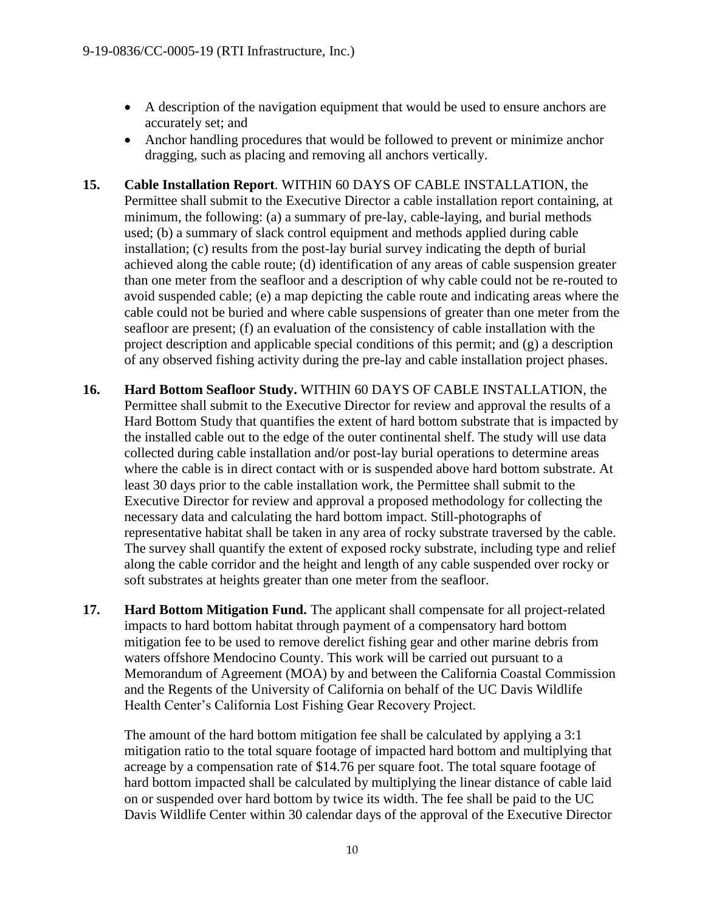- A description of the navigation equipment that would be used to ensure anchors are accurately set; and
- Anchor handling procedures that would be followed to prevent or minimize anchor dragging, such as placing and removing all anchors vertically.
- **15. Cable Installation Report**. WITHIN 60 DAYS OF CABLE INSTALLATION, the Permittee shall submit to the Executive Director a cable installation report containing, at minimum, the following: (a) a summary of pre-lay, cable-laying, and burial methods used; (b) a summary of slack control equipment and methods applied during cable installation; (c) results from the post-lay burial survey indicating the depth of burial achieved along the cable route; (d) identification of any areas of cable suspension greater than one meter from the seafloor and a description of why cable could not be re-routed to avoid suspended cable; (e) a map depicting the cable route and indicating areas where the cable could not be buried and where cable suspensions of greater than one meter from the seafloor are present; (f) an evaluation of the consistency of cable installation with the project description and applicable special conditions of this permit; and (g) a description of any observed fishing activity during the pre-lay and cable installation project phases.
- **16. Hard Bottom Seafloor Study.** WITHIN 60 DAYS OF CABLE INSTALLATION, the Permittee shall submit to the Executive Director for review and approval the results of a Hard Bottom Study that quantifies the extent of hard bottom substrate that is impacted by the installed cable out to the edge of the outer continental shelf. The study will use data collected during cable installation and/or post-lay burial operations to determine areas where the cable is in direct contact with or is suspended above hard bottom substrate. At least 30 days prior to the cable installation work, the Permittee shall submit to the Executive Director for review and approval a proposed methodology for collecting the necessary data and calculating the hard bottom impact. Still-photographs of representative habitat shall be taken in any area of rocky substrate traversed by the cable. The survey shall quantify the extent of exposed rocky substrate, including type and relief along the cable corridor and the height and length of any cable suspended over rocky or soft substrates at heights greater than one meter from the seafloor.
- **17. Hard Bottom Mitigation Fund.** The applicant shall compensate for all project-related impacts to hard bottom habitat through payment of a compensatory hard bottom mitigation fee to be used to remove derelict fishing gear and other marine debris from waters offshore Mendocino County. This work will be carried out pursuant to a Memorandum of Agreement (MOA) by and between the California Coastal Commission and the Regents of the University of California on behalf of the UC Davis Wildlife Health Center's California Lost Fishing Gear Recovery Project.

The amount of the hard bottom mitigation fee shall be calculated by applying a 3:1 mitigation ratio to the total square footage of impacted hard bottom and multiplying that acreage by a compensation rate of \$14.76 per square foot. The total square footage of hard bottom impacted shall be calculated by multiplying the linear distance of cable laid on or suspended over hard bottom by twice its width. The fee shall be paid to the UC Davis Wildlife Center within 30 calendar days of the approval of the Executive Director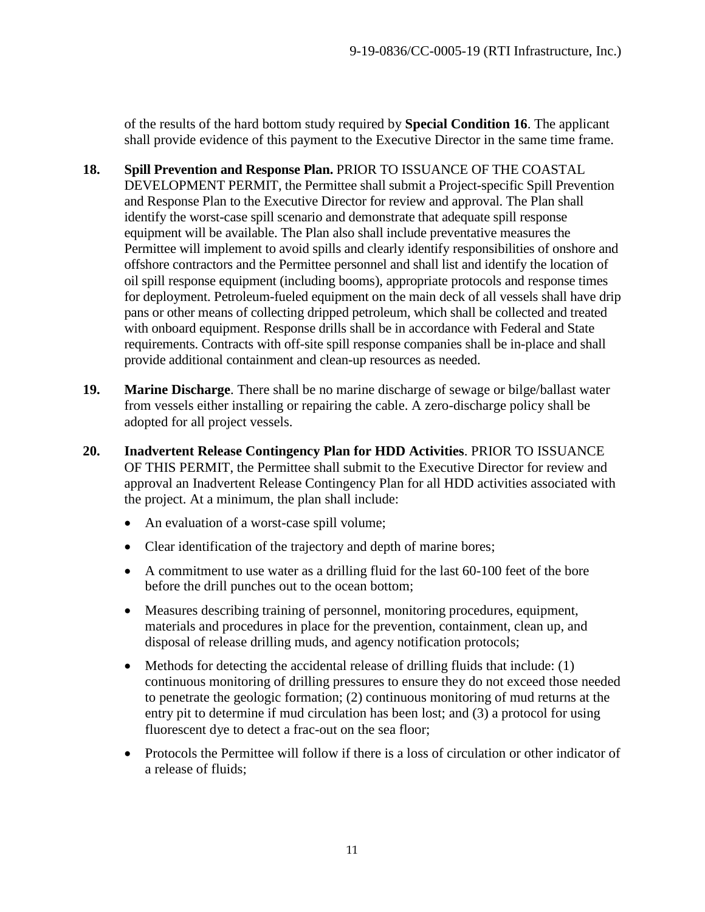of the results of the hard bottom study required by **Special Condition 16**. The applicant shall provide evidence of this payment to the Executive Director in the same time frame.

- **18. Spill Prevention and Response Plan.** PRIOR TO ISSUANCE OF THE COASTAL DEVELOPMENT PERMIT, the Permittee shall submit a Project-specific Spill Prevention and Response Plan to the Executive Director for review and approval. The Plan shall identify the worst-case spill scenario and demonstrate that adequate spill response equipment will be available. The Plan also shall include preventative measures the Permittee will implement to avoid spills and clearly identify responsibilities of onshore and offshore contractors and the Permittee personnel and shall list and identify the location of oil spill response equipment (including booms), appropriate protocols and response times for deployment. Petroleum-fueled equipment on the main deck of all vessels shall have drip pans or other means of collecting dripped petroleum, which shall be collected and treated with onboard equipment. Response drills shall be in accordance with Federal and State requirements. Contracts with off-site spill response companies shall be in-place and shall provide additional containment and clean-up resources as needed.
- **19. Marine Discharge**. There shall be no marine discharge of sewage or bilge/ballast water from vessels either installing or repairing the cable. A zero-discharge policy shall be adopted for all project vessels.
- **20. Inadvertent Release Contingency Plan for HDD Activities**. PRIOR TO ISSUANCE OF THIS PERMIT, the Permittee shall submit to the Executive Director for review and approval an Inadvertent Release Contingency Plan for all HDD activities associated with the project. At a minimum, the plan shall include:
	- An evaluation of a worst-case spill volume;
	- Clear identification of the trajectory and depth of marine bores;
	- A commitment to use water as a drilling fluid for the last 60-100 feet of the bore before the drill punches out to the ocean bottom;
	- Measures describing training of personnel, monitoring procedures, equipment, materials and procedures in place for the prevention, containment, clean up, and disposal of release drilling muds, and agency notification protocols;
	- $\bullet$  Methods for detecting the accidental release of drilling fluids that include: (1) continuous monitoring of drilling pressures to ensure they do not exceed those needed to penetrate the geologic formation; (2) continuous monitoring of mud returns at the entry pit to determine if mud circulation has been lost; and (3) a protocol for using fluorescent dye to detect a frac-out on the sea floor;
	- Protocols the Permittee will follow if there is a loss of circulation or other indicator of a release of fluids;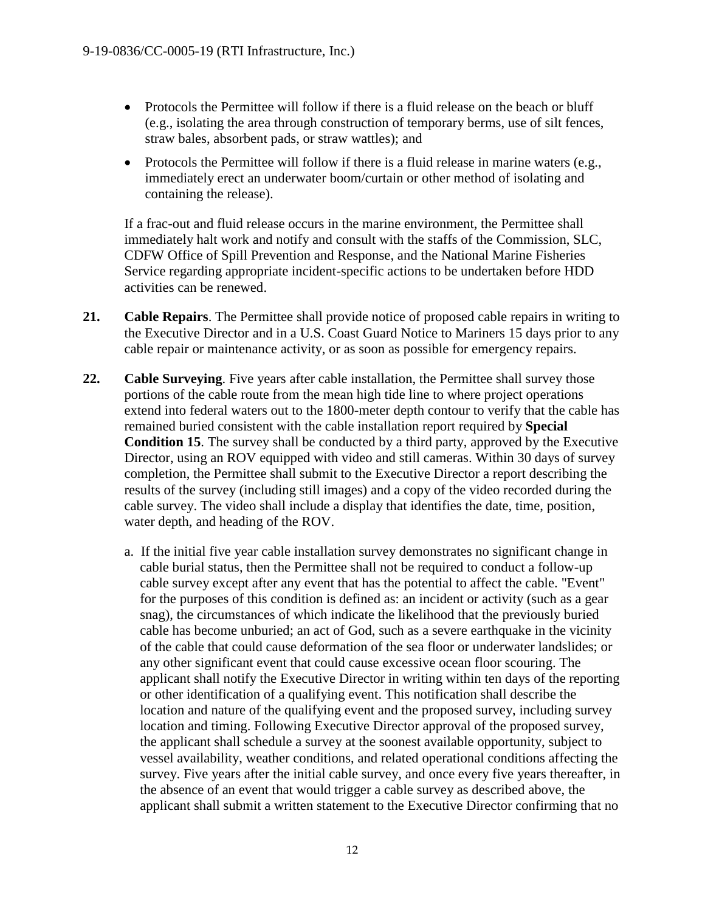- Protocols the Permittee will follow if there is a fluid release on the beach or bluff (e.g., isolating the area through construction of temporary berms, use of silt fences, straw bales, absorbent pads, or straw wattles); and
- Protocols the Permittee will follow if there is a fluid release in marine waters (e.g., immediately erect an underwater boom/curtain or other method of isolating and containing the release).

If a frac-out and fluid release occurs in the marine environment, the Permittee shall immediately halt work and notify and consult with the staffs of the Commission, SLC, CDFW Office of Spill Prevention and Response, and the National Marine Fisheries Service regarding appropriate incident-specific actions to be undertaken before HDD activities can be renewed.

- **21. Cable Repairs**. The Permittee shall provide notice of proposed cable repairs in writing to the Executive Director and in a U.S. Coast Guard Notice to Mariners 15 days prior to any cable repair or maintenance activity, or as soon as possible for emergency repairs.
- **22. Cable Surveying**. Five years after cable installation, the Permittee shall survey those portions of the cable route from the mean high tide line to where project operations extend into federal waters out to the 1800-meter depth contour to verify that the cable has remained buried consistent with the cable installation report required by **Special Condition 15**. The survey shall be conducted by a third party, approved by the Executive Director, using an ROV equipped with video and still cameras. Within 30 days of survey completion, the Permittee shall submit to the Executive Director a report describing the results of the survey (including still images) and a copy of the video recorded during the cable survey. The video shall include a display that identifies the date, time, position, water depth, and heading of the ROV.
	- a. If the initial five year cable installation survey demonstrates no significant change in cable burial status, then the Permittee shall not be required to conduct a follow-up cable survey except after any event that has the potential to affect the cable. "Event" for the purposes of this condition is defined as: an incident or activity (such as a gear snag), the circumstances of which indicate the likelihood that the previously buried cable has become unburied; an act of God, such as a severe earthquake in the vicinity of the cable that could cause deformation of the sea floor or underwater landslides; or any other significant event that could cause excessive ocean floor scouring. The applicant shall notify the Executive Director in writing within ten days of the reporting or other identification of a qualifying event. This notification shall describe the location and nature of the qualifying event and the proposed survey, including survey location and timing. Following Executive Director approval of the proposed survey, the applicant shall schedule a survey at the soonest available opportunity, subject to vessel availability, weather conditions, and related operational conditions affecting the survey. Five years after the initial cable survey, and once every five years thereafter, in the absence of an event that would trigger a cable survey as described above, the applicant shall submit a written statement to the Executive Director confirming that no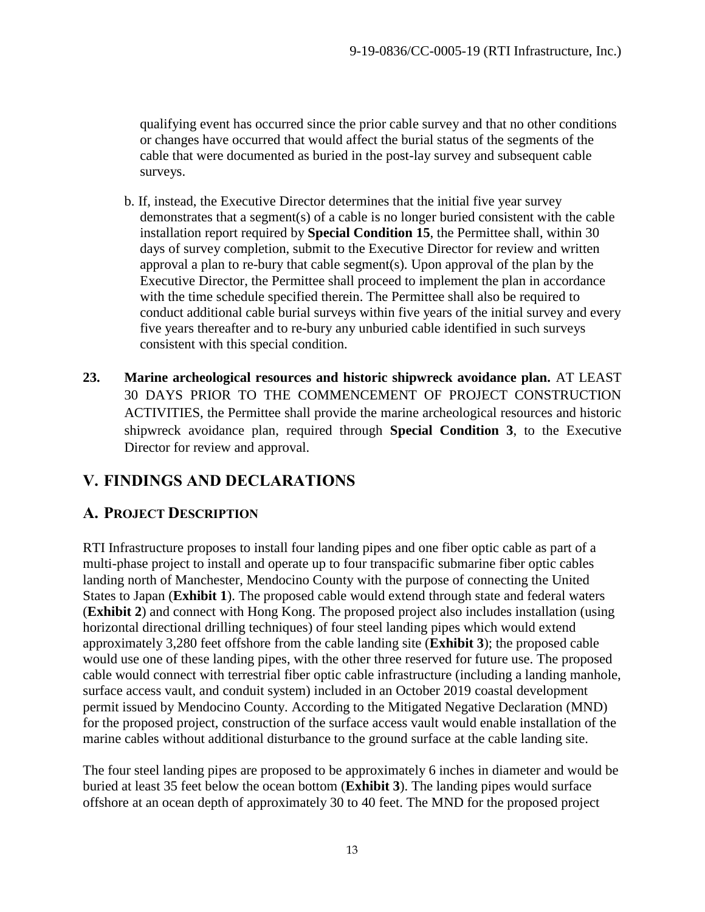qualifying event has occurred since the prior cable survey and that no other conditions or changes have occurred that would affect the burial status of the segments of the cable that were documented as buried in the post-lay survey and subsequent cable surveys.

- b. If, instead, the Executive Director determines that the initial five year survey demonstrates that a segment(s) of a cable is no longer buried consistent with the cable installation report required by **Special Condition 15**, the Permittee shall, within 30 days of survey completion, submit to the Executive Director for review and written approval a plan to re-bury that cable segment(s). Upon approval of the plan by the Executive Director, the Permittee shall proceed to implement the plan in accordance with the time schedule specified therein. The Permittee shall also be required to conduct additional cable burial surveys within five years of the initial survey and every five years thereafter and to re-bury any unburied cable identified in such surveys consistent with this special condition.
- **23. Marine archeological resources and historic shipwreck avoidance plan.** AT LEAST 30 DAYS PRIOR TO THE COMMENCEMENT OF PROJECT CONSTRUCTION ACTIVITIES, the Permittee shall provide the marine archeological resources and historic shipwreck avoidance plan, required through **Special Condition 3**, to the Executive Director for review and approval.

# <span id="page-12-0"></span>**V. FINDINGS AND DECLARATIONS**

# <span id="page-12-1"></span>**A. PROJECT DESCRIPTION**

RTI Infrastructure proposes to install four landing pipes and one fiber optic cable as part of a multi-phase project to install and operate up to four transpacific submarine fiber optic cables landing north of Manchester, Mendocino County with the purpose of connecting the United States to Japan (**Exhibit 1**). The proposed cable would extend through state and federal waters (**Exhibit 2**) and connect with Hong Kong. The proposed project also includes installation (using horizontal directional drilling techniques) of four steel landing pipes which would extend approximately 3,280 feet offshore from the cable landing site (**Exhibit 3**); the proposed cable would use one of these landing pipes, with the other three reserved for future use. The proposed cable would connect with terrestrial fiber optic cable infrastructure (including a landing manhole, surface access vault, and conduit system) included in an October 2019 coastal development permit issued by Mendocino County. According to the Mitigated Negative Declaration (MND) for the proposed project, construction of the surface access vault would enable installation of the marine cables without additional disturbance to the ground surface at the cable landing site.

The four steel landing pipes are proposed to be approximately 6 inches in diameter and would be buried at least 35 feet below the ocean bottom (**Exhibit 3**). The landing pipes would surface offshore at an ocean depth of approximately 30 to 40 feet. The MND for the proposed project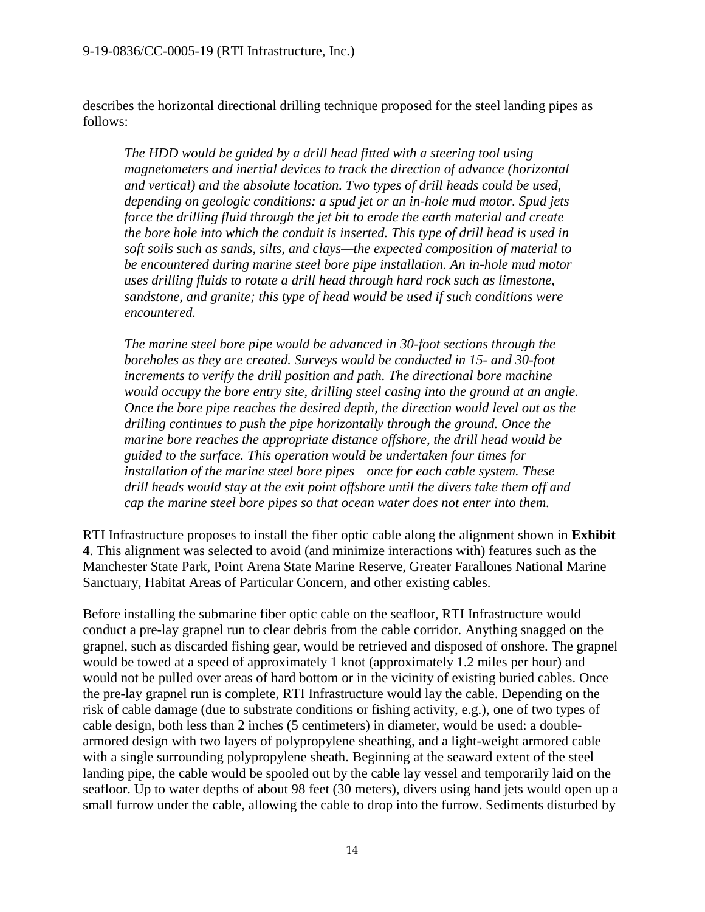describes the horizontal directional drilling technique proposed for the steel landing pipes as follows:

*The HDD would be guided by a drill head fitted with a steering tool using magnetometers and inertial devices to track the direction of advance (horizontal and vertical) and the absolute location. Two types of drill heads could be used, depending on geologic conditions: a spud jet or an in-hole mud motor. Spud jets force the drilling fluid through the jet bit to erode the earth material and create the bore hole into which the conduit is inserted. This type of drill head is used in soft soils such as sands, silts, and clays—the expected composition of material to be encountered during marine steel bore pipe installation. An in-hole mud motor uses drilling fluids to rotate a drill head through hard rock such as limestone, sandstone, and granite; this type of head would be used if such conditions were encountered.* 

*The marine steel bore pipe would be advanced in 30-foot sections through the boreholes as they are created. Surveys would be conducted in 15- and 30-foot increments to verify the drill position and path. The directional bore machine would occupy the bore entry site, drilling steel casing into the ground at an angle. Once the bore pipe reaches the desired depth, the direction would level out as the drilling continues to push the pipe horizontally through the ground. Once the marine bore reaches the appropriate distance offshore, the drill head would be guided to the surface. This operation would be undertaken four times for installation of the marine steel bore pipes—once for each cable system. These drill heads would stay at the exit point offshore until the divers take them off and cap the marine steel bore pipes so that ocean water does not enter into them.* 

RTI Infrastructure proposes to install the fiber optic cable along the alignment shown in **Exhibit 4**. This alignment was selected to avoid (and minimize interactions with) features such as the Manchester State Park, Point Arena State Marine Reserve, Greater Farallones National Marine Sanctuary, Habitat Areas of Particular Concern, and other existing cables.

Before installing the submarine fiber optic cable on the seafloor, RTI Infrastructure would conduct a pre-lay grapnel run to clear debris from the cable corridor. Anything snagged on the grapnel, such as discarded fishing gear, would be retrieved and disposed of onshore. The grapnel would be towed at a speed of approximately 1 knot (approximately 1.2 miles per hour) and would not be pulled over areas of hard bottom or in the vicinity of existing buried cables. Once the pre-lay grapnel run is complete, RTI Infrastructure would lay the cable. Depending on the risk of cable damage (due to substrate conditions or fishing activity, e.g.), one of two types of cable design, both less than 2 inches (5 centimeters) in diameter, would be used: a doublearmored design with two layers of polypropylene sheathing, and a light-weight armored cable with a single surrounding polypropylene sheath. Beginning at the seaward extent of the steel landing pipe, the cable would be spooled out by the cable lay vessel and temporarily laid on the seafloor. Up to water depths of about 98 feet (30 meters), divers using hand jets would open up a small furrow under the cable, allowing the cable to drop into the furrow. Sediments disturbed by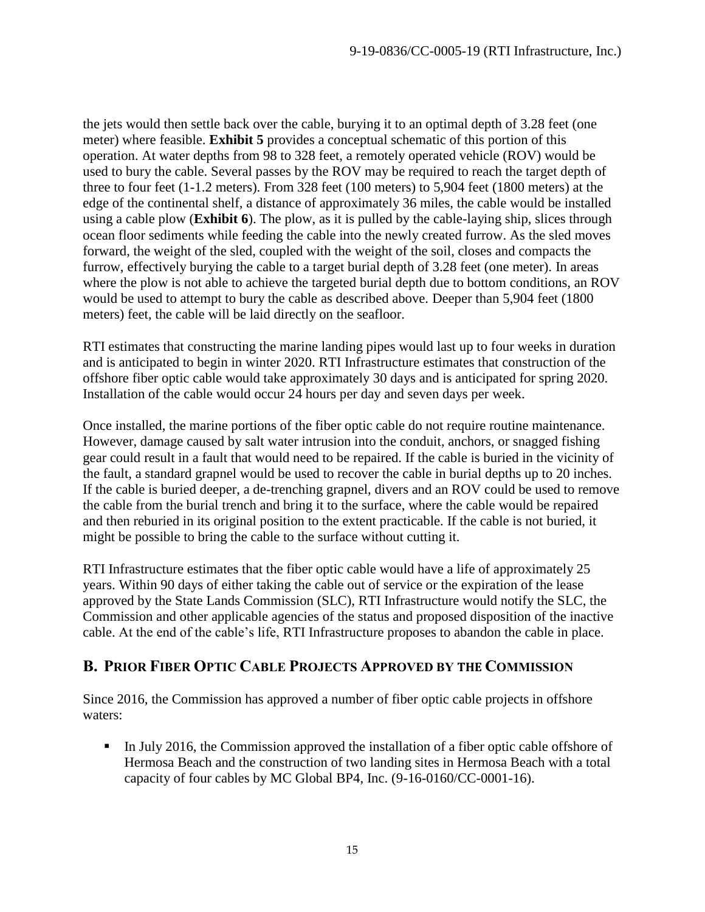the jets would then settle back over the cable, burying it to an optimal depth of 3.28 feet (one meter) where feasible. **Exhibit 5** provides a conceptual schematic of this portion of this operation. At water depths from 98 to 328 feet, a remotely operated vehicle (ROV) would be used to bury the cable. Several passes by the ROV may be required to reach the target depth of three to four feet (1-1.2 meters). From 328 feet (100 meters) to 5,904 feet (1800 meters) at the edge of the continental shelf, a distance of approximately 36 miles, the cable would be installed using a cable plow (**Exhibit 6**). The plow, as it is pulled by the cable-laying ship, slices through ocean floor sediments while feeding the cable into the newly created furrow. As the sled moves forward, the weight of the sled, coupled with the weight of the soil, closes and compacts the furrow, effectively burying the cable to a target burial depth of 3.28 feet (one meter). In areas where the plow is not able to achieve the targeted burial depth due to bottom conditions, an ROV would be used to attempt to bury the cable as described above. Deeper than 5,904 feet (1800 meters) feet, the cable will be laid directly on the seafloor.

RTI estimates that constructing the marine landing pipes would last up to four weeks in duration and is anticipated to begin in winter 2020. RTI Infrastructure estimates that construction of the offshore fiber optic cable would take approximately 30 days and is anticipated for spring 2020. Installation of the cable would occur 24 hours per day and seven days per week.

Once installed, the marine portions of the fiber optic cable do not require routine maintenance. However, damage caused by salt water intrusion into the conduit, anchors, or snagged fishing gear could result in a fault that would need to be repaired. If the cable is buried in the vicinity of the fault, a standard grapnel would be used to recover the cable in burial depths up to 20 inches. If the cable is buried deeper, a de-trenching grapnel, divers and an ROV could be used to remove the cable from the burial trench and bring it to the surface, where the cable would be repaired and then reburied in its original position to the extent practicable. If the cable is not buried, it might be possible to bring the cable to the surface without cutting it.

RTI Infrastructure estimates that the fiber optic cable would have a life of approximately 25 years. Within 90 days of either taking the cable out of service or the expiration of the lease approved by the State Lands Commission (SLC), RTI Infrastructure would notify the SLC, the Commission and other applicable agencies of the status and proposed disposition of the inactive cable. At the end of the cable's life, RTI Infrastructure proposes to abandon the cable in place.

# <span id="page-14-0"></span>**B. PRIOR FIBER OPTIC CABLE PROJECTS APPROVED BY THE COMMISSION**

Since 2016, the Commission has approved a number of fiber optic cable projects in offshore waters:

In July 2016, the Commission approved the installation of a fiber optic cable offshore of Hermosa Beach and the construction of two landing sites in Hermosa Beach with a total capacity of four cables by MC Global BP4, Inc. (9-16-0160/CC-0001-16).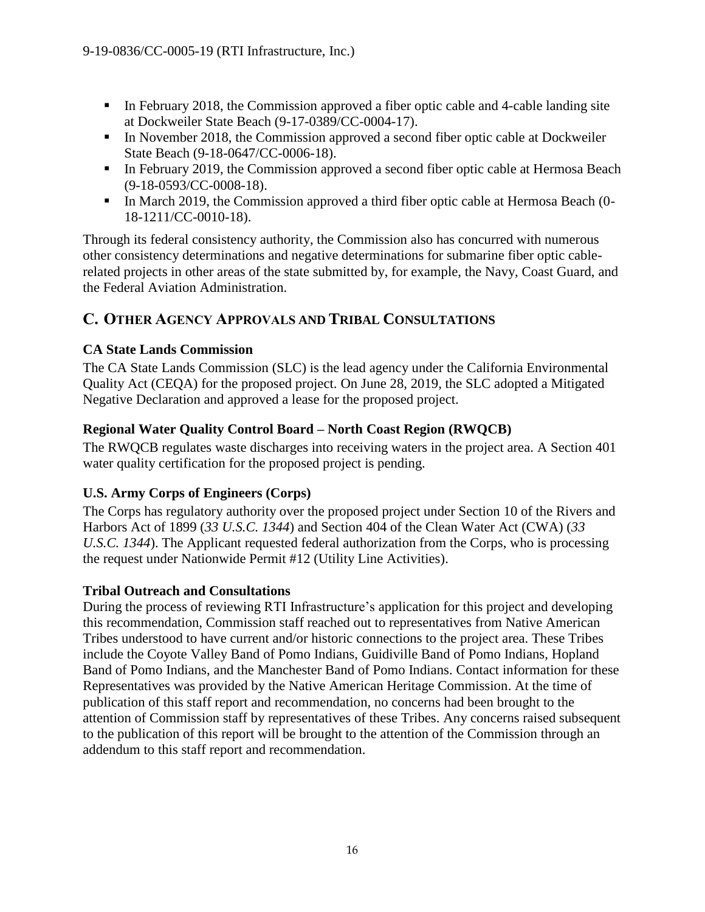- In February 2018, the Commission approved a fiber optic cable and 4-cable landing site at Dockweiler State Beach (9-17-0389/CC-0004-17).
- In November 2018, the Commission approved a second fiber optic cable at Dockweiler State Beach (9-18-0647/CC-0006-18).
- In February 2019, the Commission approved a second fiber optic cable at Hermosa Beach (9-18-0593/CC-0008-18).
- In March 2019, the Commission approved a third fiber optic cable at Hermosa Beach (0-18-1211/CC-0010-18).

Through its federal consistency authority, the Commission also has concurred with numerous other consistency determinations and negative determinations for submarine fiber optic cablerelated projects in other areas of the state submitted by, for example, the Navy, Coast Guard, and the Federal Aviation Administration.

# <span id="page-15-0"></span>**C. OTHER AGENCY APPROVALS AND TRIBAL CONSULTATIONS**

# **CA State Lands Commission**

The CA State Lands Commission (SLC) is the lead agency under the California Environmental Quality Act (CEQA) for the proposed project. On June 28, 2019, the SLC adopted a Mitigated Negative Declaration and approved a lease for the proposed project.

# **Regional Water Quality Control Board – North Coast Region (RWQCB)**

The RWQCB regulates waste discharges into receiving waters in the project area. A Section 401 water quality certification for the proposed project is pending.

# **U.S. Army Corps of Engineers (Corps)**

The Corps has regulatory authority over the proposed project under Section 10 of the Rivers and Harbors Act of 1899 (*33 U.S.C. 1344*) and Section 404 of the Clean Water Act (CWA) (*33 U.S.C. 1344*). The Applicant requested federal authorization from the Corps, who is processing the request under Nationwide Permit #12 (Utility Line Activities).

# **Tribal Outreach and Consultations**

During the process of reviewing RTI Infrastructure's application for this project and developing this recommendation, Commission staff reached out to representatives from Native American Tribes understood to have current and/or historic connections to the project area. These Tribes include the Coyote Valley Band of Pomo Indians, Guidiville Band of Pomo Indians, Hopland Band of Pomo Indians, and the Manchester Band of Pomo Indians. Contact information for these Representatives was provided by the Native American Heritage Commission. At the time of publication of this staff report and recommendation, no concerns had been brought to the attention of Commission staff by representatives of these Tribes. Any concerns raised subsequent to the publication of this report will be brought to the attention of the Commission through an addendum to this staff report and recommendation.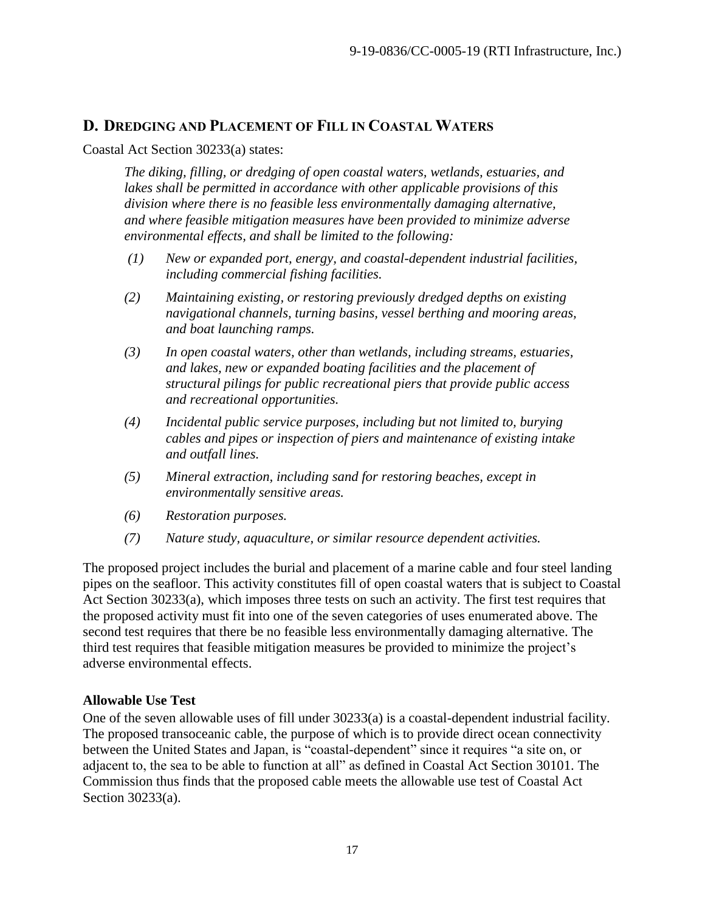# <span id="page-16-0"></span>**D. DREDGING AND PLACEMENT OF FILL IN COASTAL WATERS**

#### Coastal Act Section 30233(a) states:

*The diking, filling, or dredging of open coastal waters, wetlands, estuaries, and lakes shall be permitted in accordance with other applicable provisions of this division where there is no feasible less environmentally damaging alternative, and where feasible mitigation measures have been provided to minimize adverse environmental effects, and shall be limited to the following:*

- *(1) New or expanded port, energy, and coastal-dependent industrial facilities, including commercial fishing facilities.*
- *(2) Maintaining existing, or restoring previously dredged depths on existing navigational channels, turning basins, vessel berthing and mooring areas, and boat launching ramps.*
- *(3) In open coastal waters, other than wetlands, including streams, estuaries, and lakes, new or expanded boating facilities and the placement of structural pilings for public recreational piers that provide public access and recreational opportunities.*
- *(4) Incidental public service purposes, including but not limited to, burying cables and pipes or inspection of piers and maintenance of existing intake and outfall lines.*
- *(5) Mineral extraction, including sand for restoring beaches, except in environmentally sensitive areas.*
- *(6) Restoration purposes.*
- *(7) Nature study, aquaculture, or similar resource dependent activities.*

The proposed project includes the burial and placement of a marine cable and four steel landing pipes on the seafloor. This activity constitutes fill of open coastal waters that is subject to Coastal Act Section 30233(a), which imposes three tests on such an activity. The first test requires that the proposed activity must fit into one of the seven categories of uses enumerated above. The second test requires that there be no feasible less environmentally damaging alternative. The third test requires that feasible mitigation measures be provided to minimize the project's adverse environmental effects.

#### **Allowable Use Test**

One of the seven allowable uses of fill under 30233(a) is a coastal-dependent industrial facility. The proposed transoceanic cable, the purpose of which is to provide direct ocean connectivity between the United States and Japan, is "coastal-dependent" since it requires "a site on, or adjacent to, the sea to be able to function at all" as defined in Coastal Act Section 30101. The Commission thus finds that the proposed cable meets the allowable use test of Coastal Act Section 30233(a).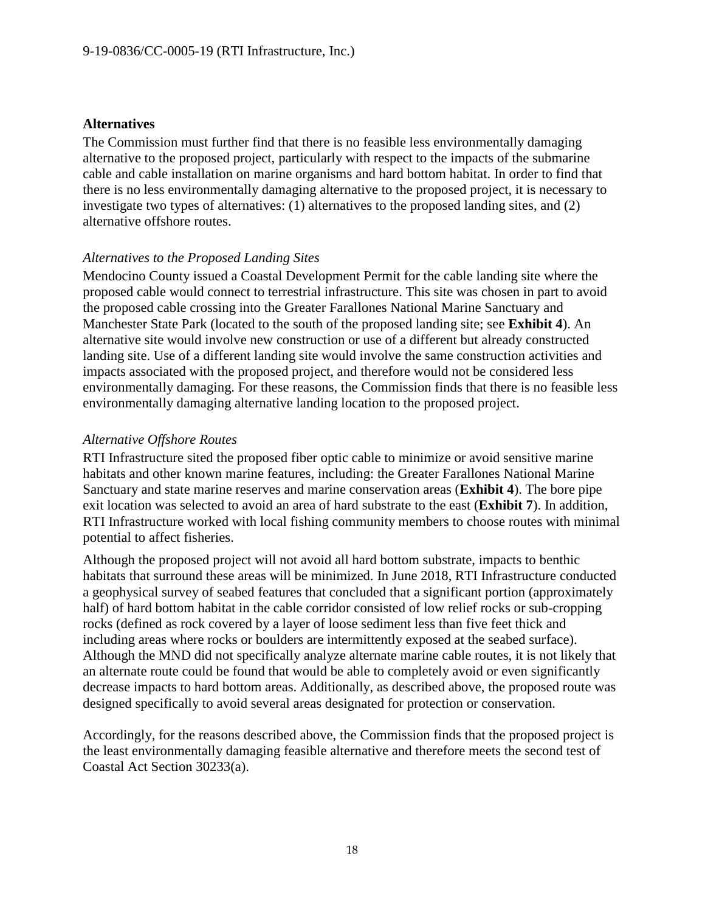#### **Alternatives**

The Commission must further find that there is no feasible less environmentally damaging alternative to the proposed project, particularly with respect to the impacts of the submarine cable and cable installation on marine organisms and hard bottom habitat. In order to find that there is no less environmentally damaging alternative to the proposed project, it is necessary to investigate two types of alternatives: (1) alternatives to the proposed landing sites, and (2) alternative offshore routes.

#### *Alternatives to the Proposed Landing Sites*

Mendocino County issued a Coastal Development Permit for the cable landing site where the proposed cable would connect to terrestrial infrastructure. This site was chosen in part to avoid the proposed cable crossing into the Greater Farallones National Marine Sanctuary and Manchester State Park (located to the south of the proposed landing site; see **Exhibit 4**). An alternative site would involve new construction or use of a different but already constructed landing site. Use of a different landing site would involve the same construction activities and impacts associated with the proposed project, and therefore would not be considered less environmentally damaging. For these reasons, the Commission finds that there is no feasible less environmentally damaging alternative landing location to the proposed project.

#### *Alternative Offshore Routes*

RTI Infrastructure sited the proposed fiber optic cable to minimize or avoid sensitive marine habitats and other known marine features, including: the Greater Farallones National Marine Sanctuary and state marine reserves and marine conservation areas (**Exhibit 4**). The bore pipe exit location was selected to avoid an area of hard substrate to the east (**Exhibit 7**). In addition, RTI Infrastructure worked with local fishing community members to choose routes with minimal potential to affect fisheries.

Although the proposed project will not avoid all hard bottom substrate, impacts to benthic habitats that surround these areas will be minimized. In June 2018, RTI Infrastructure conducted a geophysical survey of seabed features that concluded that a significant portion (approximately half) of hard bottom habitat in the cable corridor consisted of low relief rocks or sub-cropping rocks (defined as rock covered by a layer of loose sediment less than five feet thick and including areas where rocks or boulders are intermittently exposed at the seabed surface). Although the MND did not specifically analyze alternate marine cable routes, it is not likely that an alternate route could be found that would be able to completely avoid or even significantly decrease impacts to hard bottom areas. Additionally, as described above, the proposed route was designed specifically to avoid several areas designated for protection or conservation.

Accordingly, for the reasons described above, the Commission finds that the proposed project is the least environmentally damaging feasible alternative and therefore meets the second test of Coastal Act Section 30233(a).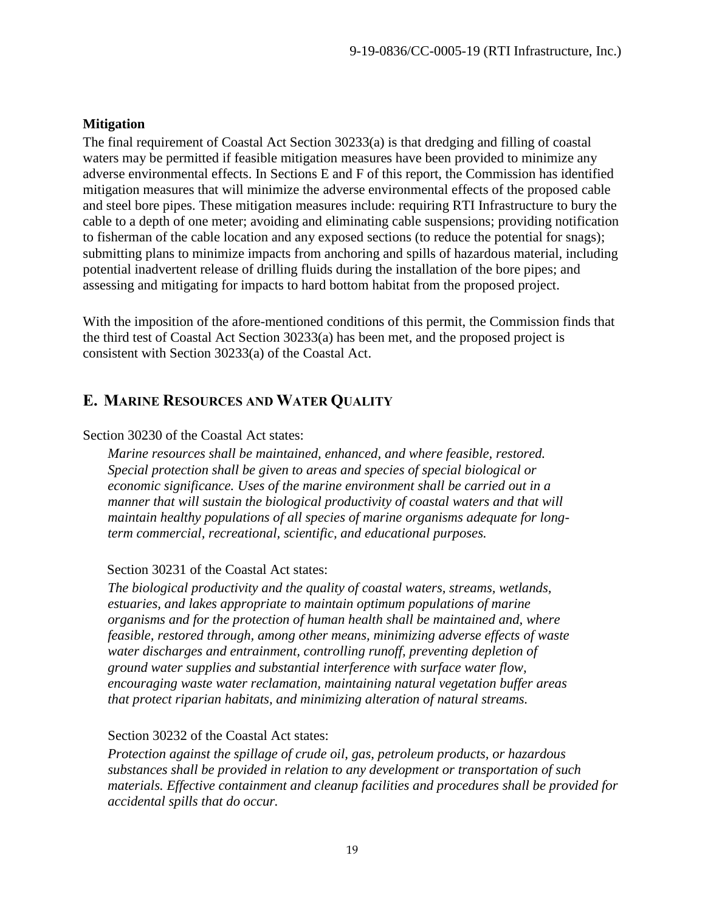## **Mitigation**

The final requirement of Coastal Act Section 30233(a) is that dredging and filling of coastal waters may be permitted if feasible mitigation measures have been provided to minimize any adverse environmental effects. In Sections E and F of this report, the Commission has identified mitigation measures that will minimize the adverse environmental effects of the proposed cable and steel bore pipes. These mitigation measures include: requiring RTI Infrastructure to bury the cable to a depth of one meter; avoiding and eliminating cable suspensions; providing notification to fisherman of the cable location and any exposed sections (to reduce the potential for snags); submitting plans to minimize impacts from anchoring and spills of hazardous material, including potential inadvertent release of drilling fluids during the installation of the bore pipes; and assessing and mitigating for impacts to hard bottom habitat from the proposed project.

With the imposition of the afore-mentioned conditions of this permit, the Commission finds that the third test of Coastal Act Section 30233(a) has been met, and the proposed project is consistent with Section 30233(a) of the Coastal Act.

# <span id="page-18-0"></span>**E. MARINE RESOURCES AND WATER QUALITY**

#### Section 30230 of the Coastal Act states:

*Marine resources shall be maintained, enhanced, and where feasible, restored. Special protection shall be given to areas and species of special biological or economic significance. Uses of the marine environment shall be carried out in a manner that will sustain the biological productivity of coastal waters and that will maintain healthy populations of all species of marine organisms adequate for longterm commercial, recreational, scientific, and educational purposes.*

## Section 30231 of the Coastal Act states:

*The biological productivity and the quality of coastal waters, streams, wetlands, estuaries, and lakes appropriate to maintain optimum populations of marine organisms and for the protection of human health shall be maintained and, where feasible, restored through, among other means, minimizing adverse effects of waste water discharges and entrainment, controlling runoff, preventing depletion of ground water supplies and substantial interference with surface water flow, encouraging waste water reclamation, maintaining natural vegetation buffer areas that protect riparian habitats, and minimizing alteration of natural streams.*

#### Section 30232 of the Coastal Act states:

*Protection against the spillage of crude oil, gas, petroleum products, or hazardous substances shall be provided in relation to any development or transportation of such materials. Effective containment and cleanup facilities and procedures shall be provided for accidental spills that do occur.*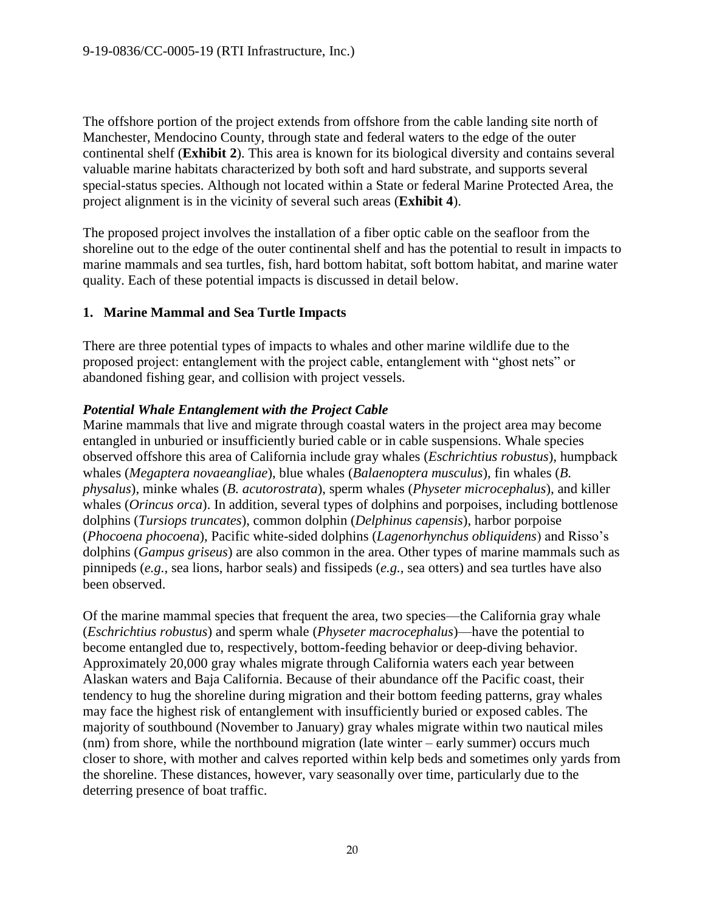The offshore portion of the project extends from offshore from the cable landing site north of Manchester, Mendocino County, through state and federal waters to the edge of the outer continental shelf (**Exhibit 2**). This area is known for its biological diversity and contains several valuable marine habitats characterized by both soft and hard substrate, and supports several special-status species. Although not located within a State or federal Marine Protected Area, the project alignment is in the vicinity of several such areas (**Exhibit 4**).

The proposed project involves the installation of a fiber optic cable on the seafloor from the shoreline out to the edge of the outer continental shelf and has the potential to result in impacts to marine mammals and sea turtles, fish, hard bottom habitat, soft bottom habitat, and marine water quality. Each of these potential impacts is discussed in detail below.

## **1. Marine Mammal and Sea Turtle Impacts**

There are three potential types of impacts to whales and other marine wildlife due to the proposed project: entanglement with the project cable, entanglement with "ghost nets" or abandoned fishing gear, and collision with project vessels.

## *Potential Whale Entanglement with the Project Cable*

Marine mammals that live and migrate through coastal waters in the project area may become entangled in unburied or insufficiently buried cable or in cable suspensions. Whale species observed offshore this area of California include gray whales (*Eschrichtius robustus*), humpback whales (*Megaptera novaeangliae*), blue whales (*Balaenoptera musculus*), fin whales (*B. physalus*), minke whales (*B. acutorostrata*), sperm whales (*Physeter microcephalus*), and killer whales (*Orincus orca*). In addition, several types of dolphins and porpoises, including bottlenose dolphins (*Tursiops truncates*), common dolphin (*Delphinus capensis*), harbor porpoise (*Phocoena phocoena*), Pacific white-sided dolphins (*Lagenorhynchus obliquidens*) and Risso's dolphins (*Gampus griseus*) are also common in the area. Other types of marine mammals such as pinnipeds (*e.g.,* sea lions, harbor seals) and fissipeds (*e.g.,* sea otters) and sea turtles have also been observed.

Of the marine mammal species that frequent the area, two species—the California gray whale (*Eschrichtius robustus*) and sperm whale (*Physeter macrocephalus*)—have the potential to become entangled due to, respectively, bottom-feeding behavior or deep-diving behavior. Approximately 20,000 gray whales migrate through California waters each year between Alaskan waters and Baja California. Because of their abundance off the Pacific coast, their tendency to hug the shoreline during migration and their bottom feeding patterns, gray whales may face the highest risk of entanglement with insufficiently buried or exposed cables. The majority of southbound (November to January) gray whales migrate within two nautical miles (nm) from shore, while the northbound migration (late winter – early summer) occurs much closer to shore, with mother and calves reported within kelp beds and sometimes only yards from the shoreline. These distances, however, vary seasonally over time, particularly due to the deterring presence of boat traffic.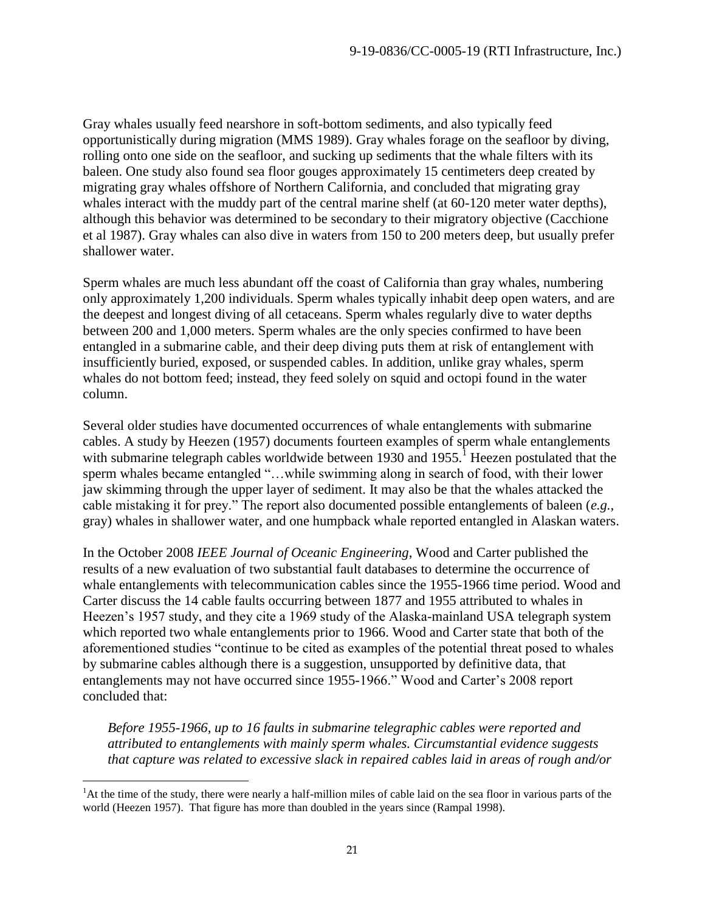Gray whales usually feed nearshore in soft-bottom sediments, and also typically feed opportunistically during migration (MMS 1989). Gray whales forage on the seafloor by diving, rolling onto one side on the seafloor, and sucking up sediments that the whale filters with its baleen. One study also found sea floor gouges approximately 15 centimeters deep created by migrating gray whales offshore of Northern California, and concluded that migrating gray whales interact with the muddy part of the central marine shelf (at  $60-120$  meter water depths), although this behavior was determined to be secondary to their migratory objective (Cacchione et al 1987). Gray whales can also dive in waters from 150 to 200 meters deep, but usually prefer shallower water.

Sperm whales are much less abundant off the coast of California than gray whales, numbering only approximately 1,200 individuals. Sperm whales typically inhabit deep open waters, and are the deepest and longest diving of all cetaceans. Sperm whales regularly dive to water depths between 200 and 1,000 meters. Sperm whales are the only species confirmed to have been entangled in a submarine cable, and their deep diving puts them at risk of entanglement with insufficiently buried, exposed, or suspended cables. In addition, unlike gray whales, sperm whales do not bottom feed; instead, they feed solely on squid and octopi found in the water column.

Several older studies have documented occurrences of whale entanglements with submarine cables. A study by Heezen (1957) documents fourteen examples of sperm whale entanglements with submarine telegraph cables worldwide between 1930 and 1955.<sup>1</sup> Heezen postulated that the sperm whales became entangled "…while swimming along in search of food, with their lower jaw skimming through the upper layer of sediment. It may also be that the whales attacked the cable mistaking it for prey." The report also documented possible entanglements of baleen (*e.g.,* gray) whales in shallower water, and one humpback whale reported entangled in Alaskan waters.

In the October 2008 *IEEE Journal of Oceanic Engineering*, Wood and Carter published the results of a new evaluation of two substantial fault databases to determine the occurrence of whale entanglements with telecommunication cables since the 1955-1966 time period. Wood and Carter discuss the 14 cable faults occurring between 1877 and 1955 attributed to whales in Heezen's 1957 study, and they cite a 1969 study of the Alaska-mainland USA telegraph system which reported two whale entanglements prior to 1966. Wood and Carter state that both of the aforementioned studies "continue to be cited as examples of the potential threat posed to whales by submarine cables although there is a suggestion, unsupported by definitive data, that entanglements may not have occurred since 1955-1966." Wood and Carter's 2008 report concluded that:

*Before 1955-1966, up to 16 faults in submarine telegraphic cables were reported and attributed to entanglements with mainly sperm whales. Circumstantial evidence suggests that capture was related to excessive slack in repaired cables laid in areas of rough and/or* 

 $\overline{a}$ <sup>1</sup>At the time of the study, there were nearly a half-million miles of cable laid on the sea floor in various parts of the world (Heezen 1957). That figure has more than doubled in the years since (Rampal 1998).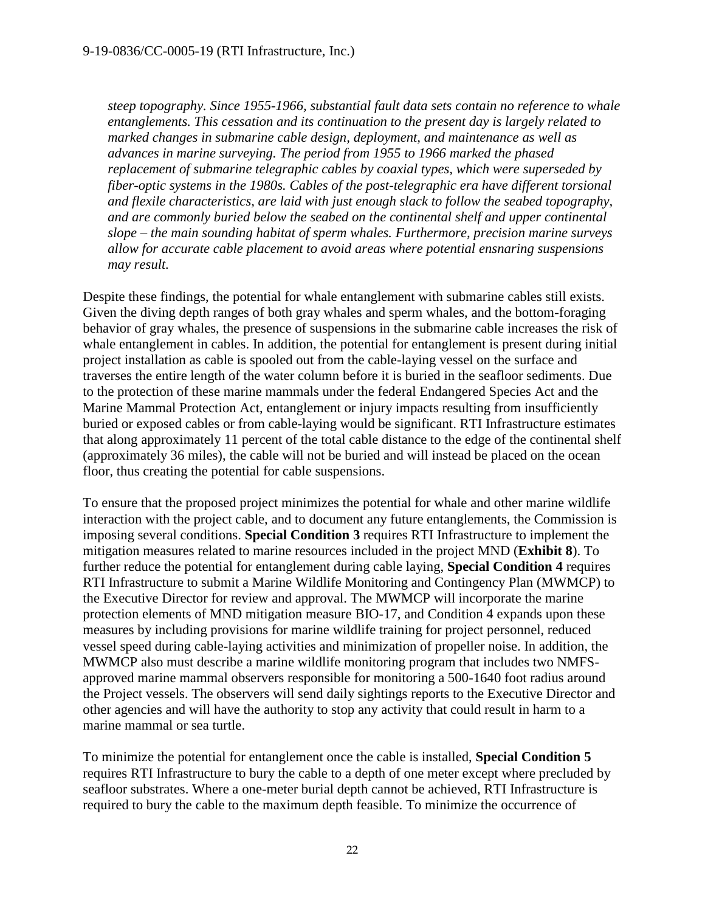*steep topography. Since 1955-1966, substantial fault data sets contain no reference to whale entanglements. This cessation and its continuation to the present day is largely related to marked changes in submarine cable design, deployment, and maintenance as well as advances in marine surveying. The period from 1955 to 1966 marked the phased replacement of submarine telegraphic cables by coaxial types, which were superseded by fiber-optic systems in the 1980s. Cables of the post-telegraphic era have different torsional and flexile characteristics, are laid with just enough slack to follow the seabed topography, and are commonly buried below the seabed on the continental shelf and upper continental slope – the main sounding habitat of sperm whales. Furthermore, precision marine surveys allow for accurate cable placement to avoid areas where potential ensnaring suspensions may result.*

Despite these findings, the potential for whale entanglement with submarine cables still exists. Given the diving depth ranges of both gray whales and sperm whales, and the bottom-foraging behavior of gray whales, the presence of suspensions in the submarine cable increases the risk of whale entanglement in cables. In addition, the potential for entanglement is present during initial project installation as cable is spooled out from the cable-laying vessel on the surface and traverses the entire length of the water column before it is buried in the seafloor sediments. Due to the protection of these marine mammals under the federal Endangered Species Act and the Marine Mammal Protection Act, entanglement or injury impacts resulting from insufficiently buried or exposed cables or from cable-laying would be significant. RTI Infrastructure estimates that along approximately 11 percent of the total cable distance to the edge of the continental shelf (approximately 36 miles), the cable will not be buried and will instead be placed on the ocean floor, thus creating the potential for cable suspensions.

To ensure that the proposed project minimizes the potential for whale and other marine wildlife interaction with the project cable, and to document any future entanglements, the Commission is imposing several conditions. **Special Condition 3** requires RTI Infrastructure to implement the mitigation measures related to marine resources included in the project MND (**Exhibit 8**). To further reduce the potential for entanglement during cable laying, **Special Condition 4** requires RTI Infrastructure to submit a Marine Wildlife Monitoring and Contingency Plan (MWMCP) to the Executive Director for review and approval. The MWMCP will incorporate the marine protection elements of MND mitigation measure BIO-17, and Condition 4 expands upon these measures by including provisions for marine wildlife training for project personnel, reduced vessel speed during cable-laying activities and minimization of propeller noise. In addition, the MWMCP also must describe a marine wildlife monitoring program that includes two NMFSapproved marine mammal observers responsible for monitoring a 500-1640 foot radius around the Project vessels. The observers will send daily sightings reports to the Executive Director and other agencies and will have the authority to stop any activity that could result in harm to a marine mammal or sea turtle.

To minimize the potential for entanglement once the cable is installed, **Special Condition 5** requires RTI Infrastructure to bury the cable to a depth of one meter except where precluded by seafloor substrates. Where a one-meter burial depth cannot be achieved, RTI Infrastructure is required to bury the cable to the maximum depth feasible. To minimize the occurrence of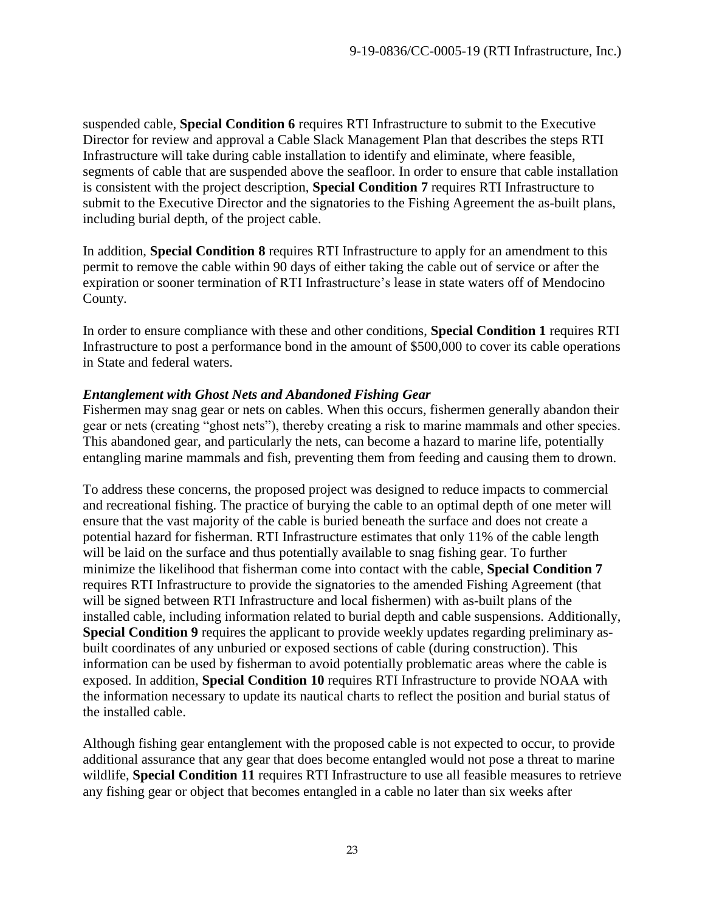suspended cable, **Special Condition 6** requires RTI Infrastructure to submit to the Executive Director for review and approval a Cable Slack Management Plan that describes the steps RTI Infrastructure will take during cable installation to identify and eliminate, where feasible, segments of cable that are suspended above the seafloor. In order to ensure that cable installation is consistent with the project description, **Special Condition 7** requires RTI Infrastructure to submit to the Executive Director and the signatories to the Fishing Agreement the as-built plans, including burial depth, of the project cable.

In addition, **Special Condition 8** requires RTI Infrastructure to apply for an amendment to this permit to remove the cable within 90 days of either taking the cable out of service or after the expiration or sooner termination of RTI Infrastructure's lease in state waters off of Mendocino County.

In order to ensure compliance with these and other conditions, **Special Condition 1** requires RTI Infrastructure to post a performance bond in the amount of \$500,000 to cover its cable operations in State and federal waters.

#### *Entanglement with Ghost Nets and Abandoned Fishing Gear*

Fishermen may snag gear or nets on cables. When this occurs, fishermen generally abandon their gear or nets (creating "ghost nets"), thereby creating a risk to marine mammals and other species. This abandoned gear, and particularly the nets, can become a hazard to marine life, potentially entangling marine mammals and fish, preventing them from feeding and causing them to drown.

To address these concerns, the proposed project was designed to reduce impacts to commercial and recreational fishing. The practice of burying the cable to an optimal depth of one meter will ensure that the vast majority of the cable is buried beneath the surface and does not create a potential hazard for fisherman. RTI Infrastructure estimates that only 11% of the cable length will be laid on the surface and thus potentially available to snag fishing gear. To further minimize the likelihood that fisherman come into contact with the cable, **Special Condition 7** requires RTI Infrastructure to provide the signatories to the amended Fishing Agreement (that will be signed between RTI Infrastructure and local fishermen) with as-built plans of the installed cable, including information related to burial depth and cable suspensions. Additionally, **Special Condition 9** requires the applicant to provide weekly updates regarding preliminary asbuilt coordinates of any unburied or exposed sections of cable (during construction). This information can be used by fisherman to avoid potentially problematic areas where the cable is exposed. In addition, **Special Condition 10** requires RTI Infrastructure to provide NOAA with the information necessary to update its nautical charts to reflect the position and burial status of the installed cable.

Although fishing gear entanglement with the proposed cable is not expected to occur, to provide additional assurance that any gear that does become entangled would not pose a threat to marine wildlife, **Special Condition 11** requires RTI Infrastructure to use all feasible measures to retrieve any fishing gear or object that becomes entangled in a cable no later than six weeks after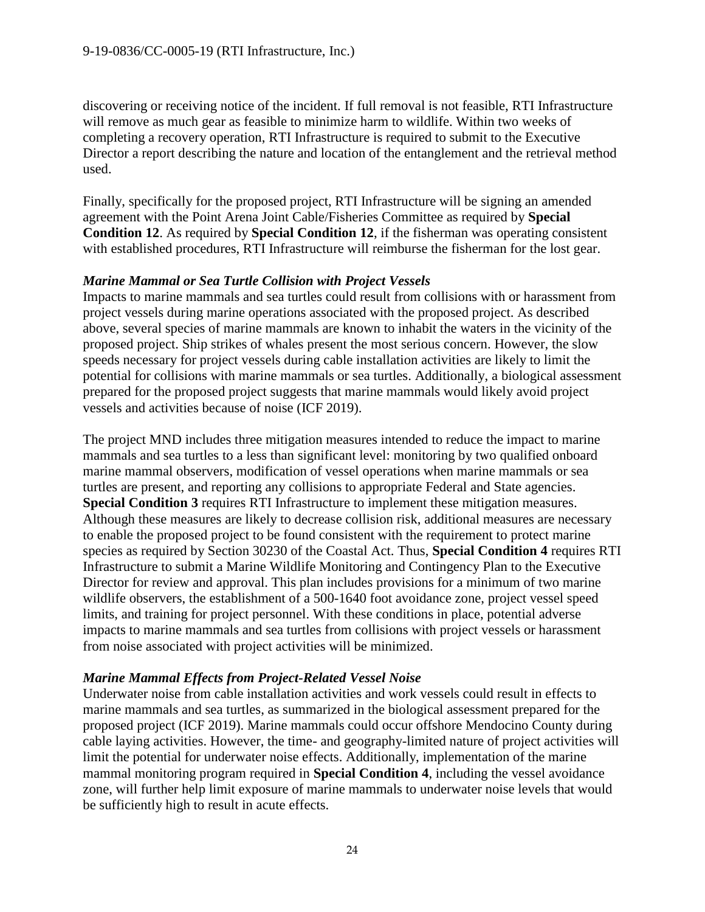discovering or receiving notice of the incident. If full removal is not feasible, RTI Infrastructure will remove as much gear as feasible to minimize harm to wildlife. Within two weeks of completing a recovery operation, RTI Infrastructure is required to submit to the Executive Director a report describing the nature and location of the entanglement and the retrieval method used.

Finally, specifically for the proposed project, RTI Infrastructure will be signing an amended agreement with the Point Arena Joint Cable/Fisheries Committee as required by **Special Condition 12**. As required by **Special Condition 12**, if the fisherman was operating consistent with established procedures, RTI Infrastructure will reimburse the fisherman for the lost gear.

## *Marine Mammal or Sea Turtle Collision with Project Vessels*

Impacts to marine mammals and sea turtles could result from collisions with or harassment from project vessels during marine operations associated with the proposed project. As described above, several species of marine mammals are known to inhabit the waters in the vicinity of the proposed project. Ship strikes of whales present the most serious concern. However, the slow speeds necessary for project vessels during cable installation activities are likely to limit the potential for collisions with marine mammals or sea turtles. Additionally, a biological assessment prepared for the proposed project suggests that marine mammals would likely avoid project vessels and activities because of noise (ICF 2019).

The project MND includes three mitigation measures intended to reduce the impact to marine mammals and sea turtles to a less than significant level: monitoring by two qualified onboard marine mammal observers, modification of vessel operations when marine mammals or sea turtles are present, and reporting any collisions to appropriate Federal and State agencies. **Special Condition 3** requires RTI Infrastructure to implement these mitigation measures. Although these measures are likely to decrease collision risk, additional measures are necessary to enable the proposed project to be found consistent with the requirement to protect marine species as required by Section 30230 of the Coastal Act. Thus, **Special Condition 4** requires RTI Infrastructure to submit a Marine Wildlife Monitoring and Contingency Plan to the Executive Director for review and approval. This plan includes provisions for a minimum of two marine wildlife observers, the establishment of a 500-1640 foot avoidance zone, project vessel speed limits, and training for project personnel. With these conditions in place, potential adverse impacts to marine mammals and sea turtles from collisions with project vessels or harassment from noise associated with project activities will be minimized.

## *Marine Mammal Effects from Project-Related Vessel Noise*

Underwater noise from cable installation activities and work vessels could result in effects to marine mammals and sea turtles, as summarized in the biological assessment prepared for the proposed project (ICF 2019). Marine mammals could occur offshore Mendocino County during cable laying activities. However, the time- and geography-limited nature of project activities will limit the potential for underwater noise effects. Additionally, implementation of the marine mammal monitoring program required in **Special Condition 4**, including the vessel avoidance zone, will further help limit exposure of marine mammals to underwater noise levels that would be sufficiently high to result in acute effects.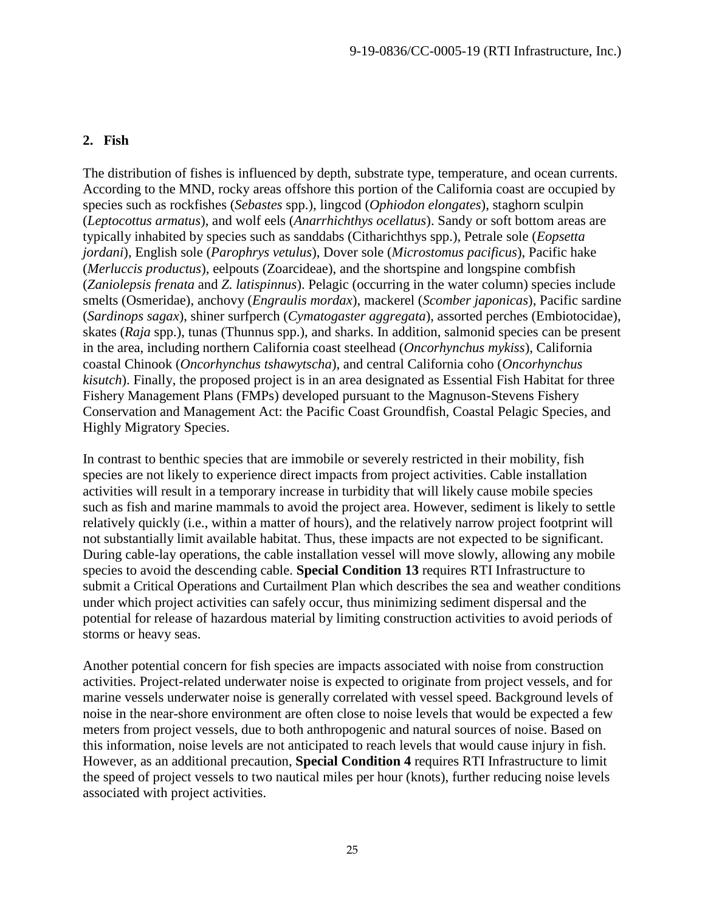#### **2. Fish**

The distribution of fishes is influenced by depth, substrate type, temperature, and ocean currents. According to the MND, rocky areas offshore this portion of the California coast are occupied by species such as rockfishes (*Sebastes* spp.), lingcod (*Ophiodon elongates*), staghorn sculpin (*Leptocottus armatus*), and wolf eels (*Anarrhichthys ocellatus*). Sandy or soft bottom areas are typically inhabited by species such as sanddabs (Citharichthys spp.), Petrale sole (*Eopsetta jordani*), English sole (*Parophrys vetulus*), Dover sole (*Microstomus pacificus*), Pacific hake (*Merluccis productus*), eelpouts (Zoarcideae), and the shortspine and longspine combfish (*Zaniolepsis frenata* and *Z. latispinnus*). Pelagic (occurring in the water column) species include smelts (Osmeridae), anchovy (*Engraulis mordax*), mackerel (*Scomber japonicas*), Pacific sardine (*Sardinops sagax*), shiner surfperch (*Cymatogaster aggregata*), assorted perches (Embiotocidae), skates (*Raja* spp.), tunas (Thunnus spp.), and sharks. In addition, salmonid species can be present in the area, including northern California coast steelhead (*Oncorhynchus mykiss*), California coastal Chinook (*Oncorhynchus tshawytscha*), and central California coho (*Oncorhynchus kisutch*). Finally, the proposed project is in an area designated as Essential Fish Habitat for three Fishery Management Plans (FMPs) developed pursuant to the Magnuson-Stevens Fishery Conservation and Management Act: the Pacific Coast Groundfish, Coastal Pelagic Species, and Highly Migratory Species.

In contrast to benthic species that are immobile or severely restricted in their mobility, fish species are not likely to experience direct impacts from project activities. Cable installation activities will result in a temporary increase in turbidity that will likely cause mobile species such as fish and marine mammals to avoid the project area. However, sediment is likely to settle relatively quickly (i.e., within a matter of hours), and the relatively narrow project footprint will not substantially limit available habitat. Thus, these impacts are not expected to be significant. During cable-lay operations, the cable installation vessel will move slowly, allowing any mobile species to avoid the descending cable. **Special Condition 13** requires RTI Infrastructure to submit a Critical Operations and Curtailment Plan which describes the sea and weather conditions under which project activities can safely occur, thus minimizing sediment dispersal and the potential for release of hazardous material by limiting construction activities to avoid periods of storms or heavy seas.

Another potential concern for fish species are impacts associated with noise from construction activities. Project-related underwater noise is expected to originate from project vessels, and for marine vessels underwater noise is generally correlated with vessel speed. Background levels of noise in the near-shore environment are often close to noise levels that would be expected a few meters from project vessels, due to both anthropogenic and natural sources of noise. Based on this information, noise levels are not anticipated to reach levels that would cause injury in fish. However, as an additional precaution, **Special Condition 4** requires RTI Infrastructure to limit the speed of project vessels to two nautical miles per hour (knots), further reducing noise levels associated with project activities.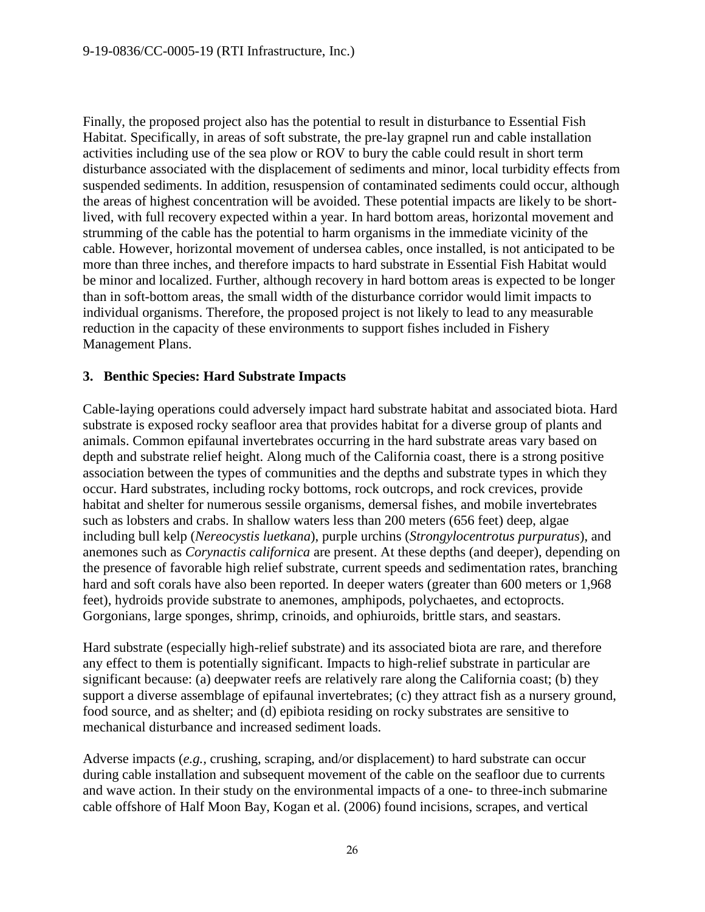Finally, the proposed project also has the potential to result in disturbance to Essential Fish Habitat. Specifically, in areas of soft substrate, the pre-lay grapnel run and cable installation activities including use of the sea plow or ROV to bury the cable could result in short term disturbance associated with the displacement of sediments and minor, local turbidity effects from suspended sediments. In addition, resuspension of contaminated sediments could occur, although the areas of highest concentration will be avoided. These potential impacts are likely to be shortlived, with full recovery expected within a year. In hard bottom areas, horizontal movement and strumming of the cable has the potential to harm organisms in the immediate vicinity of the cable. However, horizontal movement of undersea cables, once installed, is not anticipated to be more than three inches, and therefore impacts to hard substrate in Essential Fish Habitat would be minor and localized. Further, although recovery in hard bottom areas is expected to be longer than in soft-bottom areas, the small width of the disturbance corridor would limit impacts to individual organisms. Therefore, the proposed project is not likely to lead to any measurable reduction in the capacity of these environments to support fishes included in Fishery Management Plans.

#### **3. Benthic Species: Hard Substrate Impacts**

Cable-laying operations could adversely impact hard substrate habitat and associated biota. Hard substrate is exposed rocky seafloor area that provides habitat for a diverse group of plants and animals. Common epifaunal invertebrates occurring in the hard substrate areas vary based on depth and substrate relief height. Along much of the California coast, there is a strong positive association between the types of communities and the depths and substrate types in which they occur. Hard substrates, including rocky bottoms, rock outcrops, and rock crevices, provide habitat and shelter for numerous sessile organisms, demersal fishes, and mobile invertebrates such as lobsters and crabs. In shallow waters less than 200 meters (656 feet) deep, algae including bull kelp (*Nereocystis luetkana*), purple urchins (*Strongylocentrotus purpuratus*), and anemones such as *Corynactis californica* are present. At these depths (and deeper), depending on the presence of favorable high relief substrate, current speeds and sedimentation rates, branching hard and soft corals have also been reported. In deeper waters (greater than 600 meters or 1,968 feet), hydroids provide substrate to anemones, amphipods, polychaetes, and ectoprocts. Gorgonians, large sponges, shrimp, crinoids, and ophiuroids, brittle stars, and seastars.

Hard substrate (especially high-relief substrate) and its associated biota are rare, and therefore any effect to them is potentially significant. Impacts to high-relief substrate in particular are significant because: (a) deepwater reefs are relatively rare along the California coast; (b) they support a diverse assemblage of epifaunal invertebrates; (c) they attract fish as a nursery ground, food source, and as shelter; and (d) epibiota residing on rocky substrates are sensitive to mechanical disturbance and increased sediment loads.

Adverse impacts (*e.g.,* crushing, scraping, and/or displacement) to hard substrate can occur during cable installation and subsequent movement of the cable on the seafloor due to currents and wave action. In their study on the environmental impacts of a one- to three-inch submarine cable offshore of Half Moon Bay, Kogan et al. (2006) found incisions, scrapes, and vertical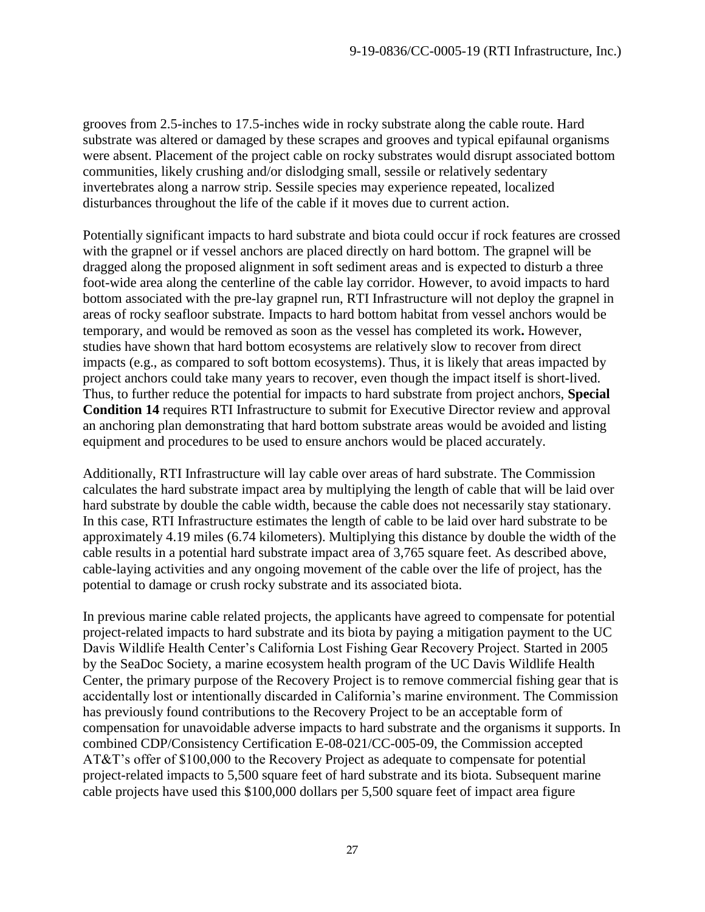grooves from 2.5-inches to 17.5-inches wide in rocky substrate along the cable route. Hard substrate was altered or damaged by these scrapes and grooves and typical epifaunal organisms were absent. Placement of the project cable on rocky substrates would disrupt associated bottom communities, likely crushing and/or dislodging small, sessile or relatively sedentary invertebrates along a narrow strip. Sessile species may experience repeated, localized disturbances throughout the life of the cable if it moves due to current action.

Potentially significant impacts to hard substrate and biota could occur if rock features are crossed with the grapnel or if vessel anchors are placed directly on hard bottom. The grapnel will be dragged along the proposed alignment in soft sediment areas and is expected to disturb a three foot-wide area along the centerline of the cable lay corridor. However, to avoid impacts to hard bottom associated with the pre-lay grapnel run, RTI Infrastructure will not deploy the grapnel in areas of rocky seafloor substrate*.* Impacts to hard bottom habitat from vessel anchors would be temporary, and would be removed as soon as the vessel has completed its work**.** However, studies have shown that hard bottom ecosystems are relatively slow to recover from direct impacts (e.g., as compared to soft bottom ecosystems). Thus, it is likely that areas impacted by project anchors could take many years to recover, even though the impact itself is short-lived. Thus, to further reduce the potential for impacts to hard substrate from project anchors, **Special Condition 14** requires RTI Infrastructure to submit for Executive Director review and approval an anchoring plan demonstrating that hard bottom substrate areas would be avoided and listing equipment and procedures to be used to ensure anchors would be placed accurately.

Additionally, RTI Infrastructure will lay cable over areas of hard substrate. The Commission calculates the hard substrate impact area by multiplying the length of cable that will be laid over hard substrate by double the cable width, because the cable does not necessarily stay stationary. In this case, RTI Infrastructure estimates the length of cable to be laid over hard substrate to be approximately 4.19 miles (6.74 kilometers). Multiplying this distance by double the width of the cable results in a potential hard substrate impact area of 3,765 square feet. As described above, cable-laying activities and any ongoing movement of the cable over the life of project, has the potential to damage or crush rocky substrate and its associated biota.

In previous marine cable related projects, the applicants have agreed to compensate for potential project-related impacts to hard substrate and its biota by paying a mitigation payment to the UC Davis Wildlife Health Center's California Lost Fishing Gear Recovery Project. Started in 2005 by the SeaDoc Society, a marine ecosystem health program of the UC Davis Wildlife Health Center, the primary purpose of the Recovery Project is to remove commercial fishing gear that is accidentally lost or intentionally discarded in California's marine environment. The Commission has previously found contributions to the Recovery Project to be an acceptable form of compensation for unavoidable adverse impacts to hard substrate and the organisms it supports. In combined CDP/Consistency Certification E-08-021/CC-005-09, the Commission accepted AT&T's offer of \$100,000 to the Recovery Project as adequate to compensate for potential project-related impacts to 5,500 square feet of hard substrate and its biota. Subsequent marine cable projects have used this \$100,000 dollars per 5,500 square feet of impact area figure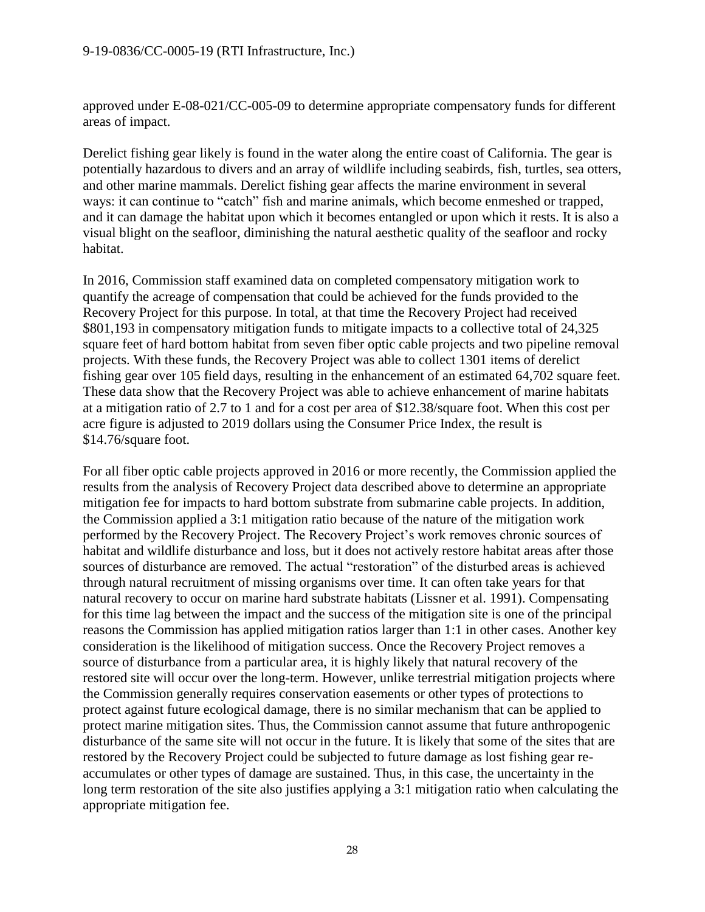approved under E-08-021/CC-005-09 to determine appropriate compensatory funds for different areas of impact.

Derelict fishing gear likely is found in the water along the entire coast of California. The gear is potentially hazardous to divers and an array of wildlife including seabirds, fish, turtles, sea otters, and other marine mammals. Derelict fishing gear affects the marine environment in several ways: it can continue to "catch" fish and marine animals, which become enmeshed or trapped, and it can damage the habitat upon which it becomes entangled or upon which it rests. It is also a visual blight on the seafloor, diminishing the natural aesthetic quality of the seafloor and rocky habitat.

In 2016, Commission staff examined data on completed compensatory mitigation work to quantify the acreage of compensation that could be achieved for the funds provided to the Recovery Project for this purpose. In total, at that time the Recovery Project had received \$801,193 in compensatory mitigation funds to mitigate impacts to a collective total of 24,325 square feet of hard bottom habitat from seven fiber optic cable projects and two pipeline removal projects. With these funds, the Recovery Project was able to collect 1301 items of derelict fishing gear over 105 field days, resulting in the enhancement of an estimated 64,702 square feet. These data show that the Recovery Project was able to achieve enhancement of marine habitats at a mitigation ratio of 2.7 to 1 and for a cost per area of \$12.38/square foot. When this cost per acre figure is adjusted to 2019 dollars using the Consumer Price Index, the result is \$14.76/square foot.

For all fiber optic cable projects approved in 2016 or more recently, the Commission applied the results from the analysis of Recovery Project data described above to determine an appropriate mitigation fee for impacts to hard bottom substrate from submarine cable projects. In addition, the Commission applied a 3:1 mitigation ratio because of the nature of the mitigation work performed by the Recovery Project. The Recovery Project's work removes chronic sources of habitat and wildlife disturbance and loss, but it does not actively restore habitat areas after those sources of disturbance are removed. The actual "restoration" of the disturbed areas is achieved through natural recruitment of missing organisms over time. It can often take years for that natural recovery to occur on marine hard substrate habitats (Lissner et al. 1991). Compensating for this time lag between the impact and the success of the mitigation site is one of the principal reasons the Commission has applied mitigation ratios larger than 1:1 in other cases. Another key consideration is the likelihood of mitigation success. Once the Recovery Project removes a source of disturbance from a particular area, it is highly likely that natural recovery of the restored site will occur over the long-term. However, unlike terrestrial mitigation projects where the Commission generally requires conservation easements or other types of protections to protect against future ecological damage, there is no similar mechanism that can be applied to protect marine mitigation sites. Thus, the Commission cannot assume that future anthropogenic disturbance of the same site will not occur in the future. It is likely that some of the sites that are restored by the Recovery Project could be subjected to future damage as lost fishing gear reaccumulates or other types of damage are sustained. Thus, in this case, the uncertainty in the long term restoration of the site also justifies applying a 3:1 mitigation ratio when calculating the appropriate mitigation fee.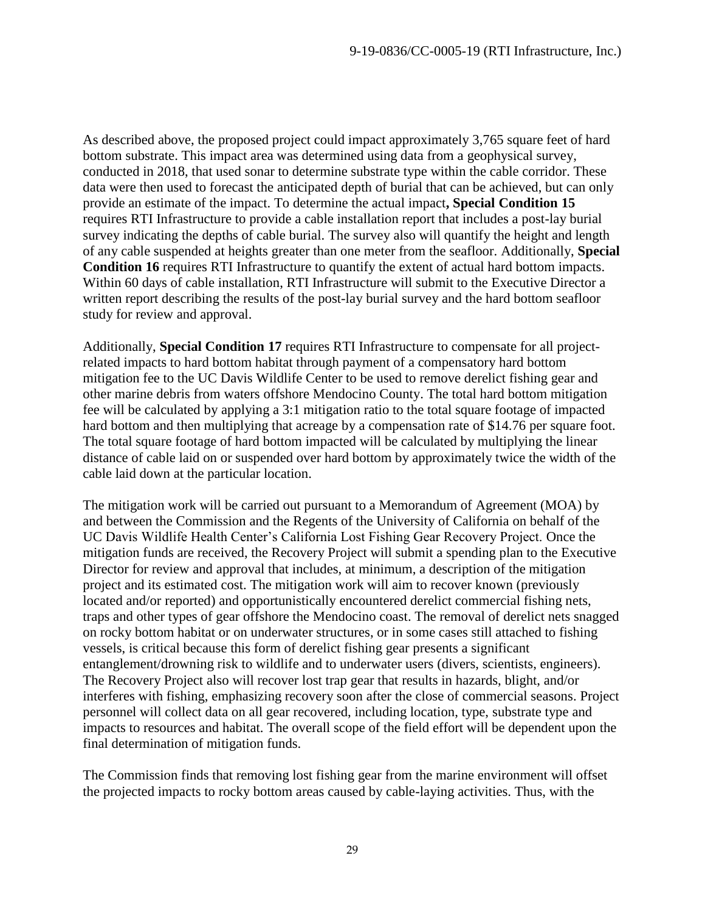As described above, the proposed project could impact approximately 3,765 square feet of hard bottom substrate. This impact area was determined using data from a geophysical survey, conducted in 2018, that used sonar to determine substrate type within the cable corridor. These data were then used to forecast the anticipated depth of burial that can be achieved, but can only provide an estimate of the impact. To determine the actual impact**, Special Condition 15** requires RTI Infrastructure to provide a cable installation report that includes a post-lay burial survey indicating the depths of cable burial. The survey also will quantify the height and length of any cable suspended at heights greater than one meter from the seafloor. Additionally, **Special Condition 16** requires RTI Infrastructure to quantify the extent of actual hard bottom impacts. Within 60 days of cable installation, RTI Infrastructure will submit to the Executive Director a written report describing the results of the post-lay burial survey and the hard bottom seafloor study for review and approval.

Additionally, **Special Condition 17** requires RTI Infrastructure to compensate for all projectrelated impacts to hard bottom habitat through payment of a compensatory hard bottom mitigation fee to the UC Davis Wildlife Center to be used to remove derelict fishing gear and other marine debris from waters offshore Mendocino County. The total hard bottom mitigation fee will be calculated by applying a 3:1 mitigation ratio to the total square footage of impacted hard bottom and then multiplying that acreage by a compensation rate of \$14.76 per square foot. The total square footage of hard bottom impacted will be calculated by multiplying the linear distance of cable laid on or suspended over hard bottom by approximately twice the width of the cable laid down at the particular location.

The mitigation work will be carried out pursuant to a Memorandum of Agreement (MOA) by and between the Commission and the Regents of the University of California on behalf of the UC Davis Wildlife Health Center's California Lost Fishing Gear Recovery Project. Once the mitigation funds are received, the Recovery Project will submit a spending plan to the Executive Director for review and approval that includes, at minimum, a description of the mitigation project and its estimated cost. The mitigation work will aim to recover known (previously located and/or reported) and opportunistically encountered derelict commercial fishing nets, traps and other types of gear offshore the Mendocino coast. The removal of derelict nets snagged on rocky bottom habitat or on underwater structures, or in some cases still attached to fishing vessels, is critical because this form of derelict fishing gear presents a significant entanglement/drowning risk to wildlife and to underwater users (divers, scientists, engineers). The Recovery Project also will recover lost trap gear that results in hazards, blight, and/or interferes with fishing, emphasizing recovery soon after the close of commercial seasons. Project personnel will collect data on all gear recovered, including location, type, substrate type and impacts to resources and habitat. The overall scope of the field effort will be dependent upon the final determination of mitigation funds.

The Commission finds that removing lost fishing gear from the marine environment will offset the projected impacts to rocky bottom areas caused by cable-laying activities. Thus, with the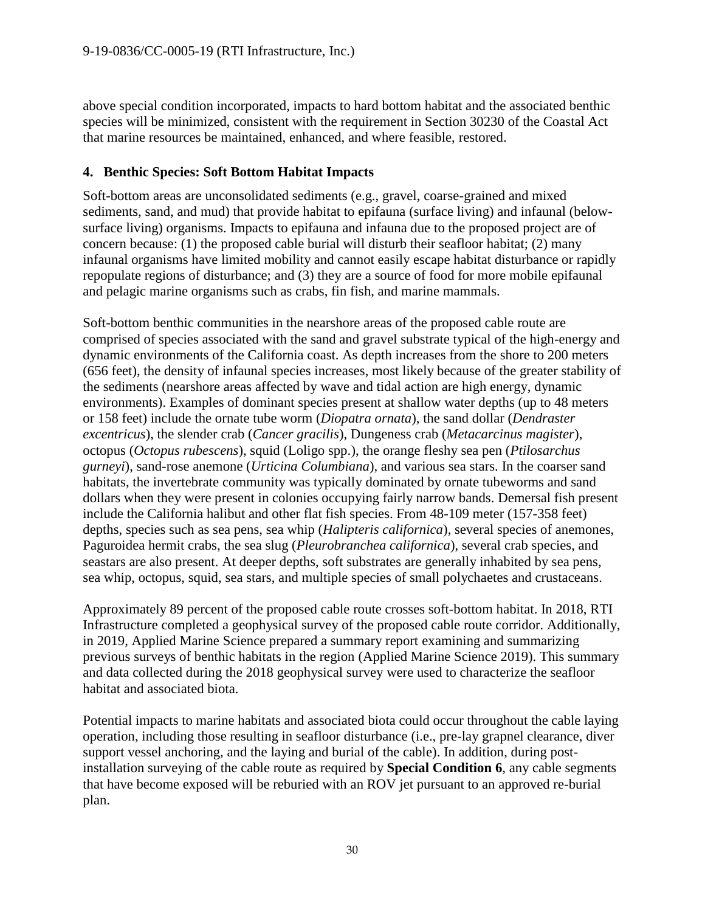above special condition incorporated, impacts to hard bottom habitat and the associated benthic species will be minimized, consistent with the requirement in Section 30230 of the Coastal Act that marine resources be maintained, enhanced, and where feasible, restored.

## **4. Benthic Species: Soft Bottom Habitat Impacts**

Soft-bottom areas are unconsolidated sediments (e.g., gravel, coarse-grained and mixed sediments, sand, and mud) that provide habitat to epifauna (surface living) and infaunal (belowsurface living) organisms. Impacts to epifauna and infauna due to the proposed project are of concern because: (1) the proposed cable burial will disturb their seafloor habitat; (2) many infaunal organisms have limited mobility and cannot easily escape habitat disturbance or rapidly repopulate regions of disturbance; and (3) they are a source of food for more mobile epifaunal and pelagic marine organisms such as crabs, fin fish, and marine mammals.

Soft-bottom benthic communities in the nearshore areas of the proposed cable route are comprised of species associated with the sand and gravel substrate typical of the high-energy and dynamic environments of the California coast. As depth increases from the shore to 200 meters (656 feet), the density of infaunal species increases, most likely because of the greater stability of the sediments (nearshore areas affected by wave and tidal action are high energy, dynamic environments). Examples of dominant species present at shallow water depths (up to 48 meters or 158 feet) include the ornate tube worm (*Diopatra ornata*), the sand dollar (*Dendraster excentricus*), the slender crab (*Cancer gracilis*), Dungeness crab (*Metacarcinus magister*), octopus (*Octopus rubescens*), squid (Loligo spp.), the orange fleshy sea pen (*Ptilosarchus gurneyi*), sand-rose anemone (*Urticina Columbiana*), and various sea stars. In the coarser sand habitats, the invertebrate community was typically dominated by ornate tubeworms and sand dollars when they were present in colonies occupying fairly narrow bands. Demersal fish present include the California halibut and other flat fish species. From 48-109 meter (157-358 feet) depths, species such as sea pens, sea whip (*Halipteris californica*), several species of anemones, Paguroidea hermit crabs, the sea slug (*Pleurobranchea californica*), several crab species, and seastars are also present. At deeper depths, soft substrates are generally inhabited by sea pens, sea whip, octopus, squid, sea stars, and multiple species of small polychaetes and crustaceans.

Approximately 89 percent of the proposed cable route crosses soft-bottom habitat. In 2018, RTI Infrastructure completed a geophysical survey of the proposed cable route corridor. Additionally, in 2019, Applied Marine Science prepared a summary report examining and summarizing previous surveys of benthic habitats in the region (Applied Marine Science 2019). This summary and data collected during the 2018 geophysical survey were used to characterize the seafloor habitat and associated biota.

Potential impacts to marine habitats and associated biota could occur throughout the cable laying operation, including those resulting in seafloor disturbance (i.e., pre-lay grapnel clearance, diver support vessel anchoring, and the laying and burial of the cable). In addition, during postinstallation surveying of the cable route as required by **Special Condition 6**, any cable segments that have become exposed will be reburied with an ROV jet pursuant to an approved re-burial plan.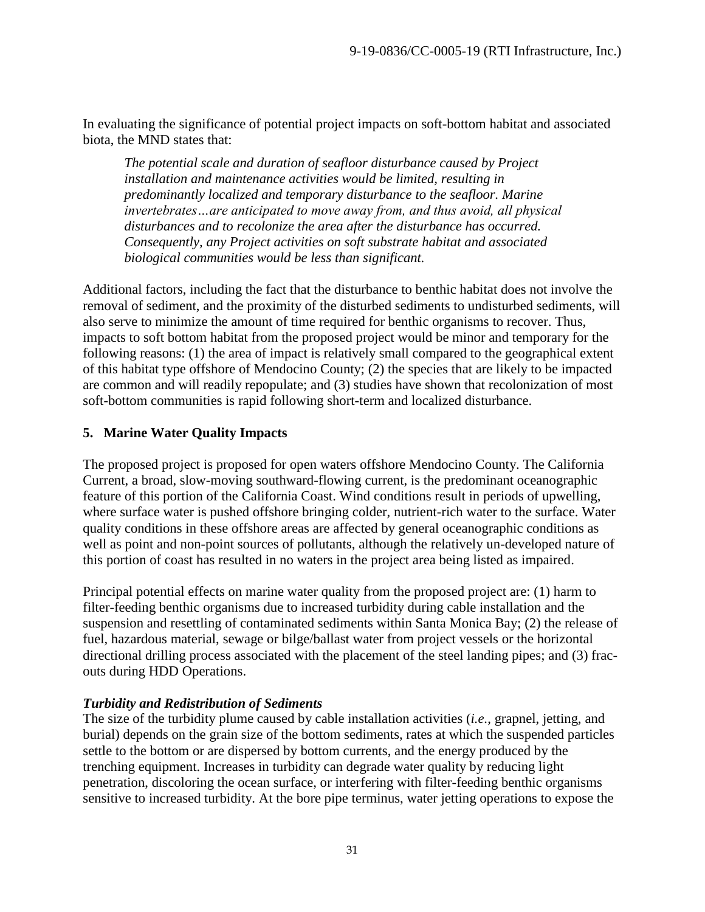In evaluating the significance of potential project impacts on soft-bottom habitat and associated biota, the MND states that:

*The potential scale and duration of seafloor disturbance caused by Project installation and maintenance activities would be limited, resulting in predominantly localized and temporary disturbance to the seafloor. Marine invertebrates…are anticipated to move away from, and thus avoid, all physical disturbances and to recolonize the area after the disturbance has occurred. Consequently, any Project activities on soft substrate habitat and associated biological communities would be less than significant.*

Additional factors, including the fact that the disturbance to benthic habitat does not involve the removal of sediment, and the proximity of the disturbed sediments to undisturbed sediments, will also serve to minimize the amount of time required for benthic organisms to recover. Thus, impacts to soft bottom habitat from the proposed project would be minor and temporary for the following reasons: (1) the area of impact is relatively small compared to the geographical extent of this habitat type offshore of Mendocino County; (2) the species that are likely to be impacted are common and will readily repopulate; and (3) studies have shown that recolonization of most soft-bottom communities is rapid following short-term and localized disturbance.

## **5. Marine Water Quality Impacts**

The proposed project is proposed for open waters offshore Mendocino County. The California Current, a broad, slow-moving southward-flowing current, is the predominant oceanographic feature of this portion of the California Coast. Wind conditions result in periods of upwelling, where surface water is pushed offshore bringing colder, nutrient-rich water to the surface. Water quality conditions in these offshore areas are affected by general oceanographic conditions as well as point and non-point sources of pollutants, although the relatively un-developed nature of this portion of coast has resulted in no waters in the project area being listed as impaired.

Principal potential effects on marine water quality from the proposed project are: (1) harm to filter-feeding benthic organisms due to increased turbidity during cable installation and the suspension and resettling of contaminated sediments within Santa Monica Bay; (2) the release of fuel, hazardous material, sewage or bilge/ballast water from project vessels or the horizontal directional drilling process associated with the placement of the steel landing pipes; and (3) fracouts during HDD Operations.

## *Turbidity and Redistribution of Sediments*

The size of the turbidity plume caused by cable installation activities (*i.e.*, grapnel, jetting, and burial) depends on the grain size of the bottom sediments, rates at which the suspended particles settle to the bottom or are dispersed by bottom currents, and the energy produced by the trenching equipment. Increases in turbidity can degrade water quality by reducing light penetration, discoloring the ocean surface, or interfering with filter-feeding benthic organisms sensitive to increased turbidity. At the bore pipe terminus, water jetting operations to expose the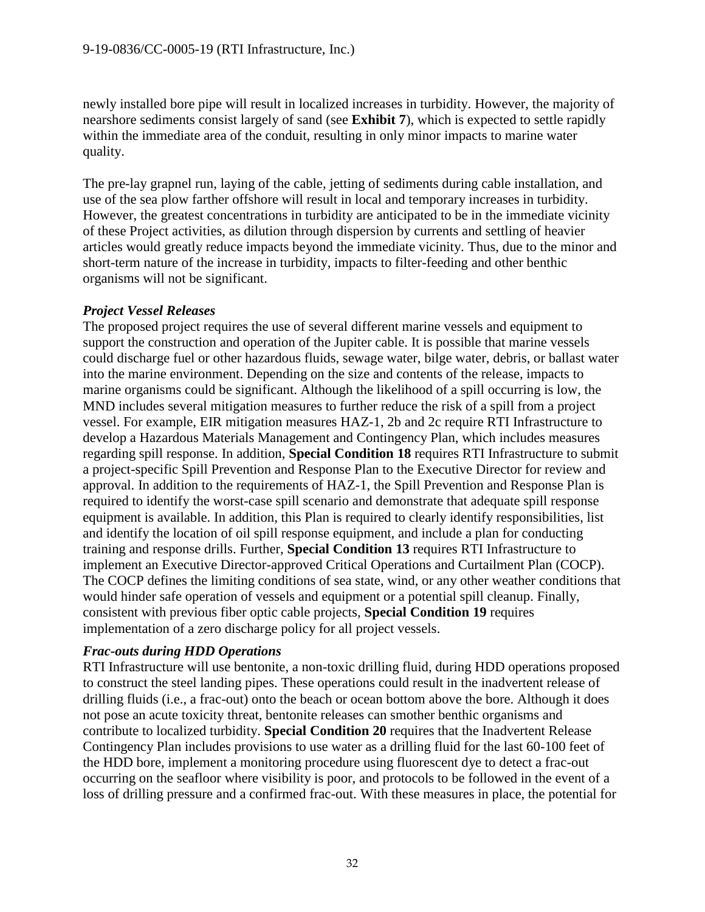newly installed bore pipe will result in localized increases in turbidity. However, the majority of nearshore sediments consist largely of sand (see **Exhibit 7**), which is expected to settle rapidly within the immediate area of the conduit, resulting in only minor impacts to marine water quality.

The pre-lay grapnel run, laying of the cable, jetting of sediments during cable installation, and use of the sea plow farther offshore will result in local and temporary increases in turbidity. However, the greatest concentrations in turbidity are anticipated to be in the immediate vicinity of these Project activities, as dilution through dispersion by currents and settling of heavier articles would greatly reduce impacts beyond the immediate vicinity. Thus, due to the minor and short-term nature of the increase in turbidity, impacts to filter-feeding and other benthic organisms will not be significant.

#### *Project Vessel Releases*

The proposed project requires the use of several different marine vessels and equipment to support the construction and operation of the Jupiter cable. It is possible that marine vessels could discharge fuel or other hazardous fluids, sewage water, bilge water, debris, or ballast water into the marine environment. Depending on the size and contents of the release, impacts to marine organisms could be significant. Although the likelihood of a spill occurring is low, the MND includes several mitigation measures to further reduce the risk of a spill from a project vessel. For example, EIR mitigation measures HAZ-1, 2b and 2c require RTI Infrastructure to develop a Hazardous Materials Management and Contingency Plan, which includes measures regarding spill response. In addition, **Special Condition 18** requires RTI Infrastructure to submit a project-specific Spill Prevention and Response Plan to the Executive Director for review and approval. In addition to the requirements of HAZ-1, the Spill Prevention and Response Plan is required to identify the worst-case spill scenario and demonstrate that adequate spill response equipment is available. In addition, this Plan is required to clearly identify responsibilities, list and identify the location of oil spill response equipment, and include a plan for conducting training and response drills. Further, **Special Condition 13** requires RTI Infrastructure to implement an Executive Director-approved Critical Operations and Curtailment Plan (COCP). The COCP defines the limiting conditions of sea state, wind, or any other weather conditions that would hinder safe operation of vessels and equipment or a potential spill cleanup. Finally, consistent with previous fiber optic cable projects, **Special Condition 19** requires implementation of a zero discharge policy for all project vessels.

## *Frac-outs during HDD Operations*

RTI Infrastructure will use bentonite, a non-toxic drilling fluid, during HDD operations proposed to construct the steel landing pipes. These operations could result in the inadvertent release of drilling fluids (i.e., a frac-out) onto the beach or ocean bottom above the bore. Although it does not pose an acute toxicity threat, bentonite releases can smother benthic organisms and contribute to localized turbidity. **Special Condition 20** requires that the Inadvertent Release Contingency Plan includes provisions to use water as a drilling fluid for the last 60-100 feet of the HDD bore, implement a monitoring procedure using fluorescent dye to detect a frac-out occurring on the seafloor where visibility is poor, and protocols to be followed in the event of a loss of drilling pressure and a confirmed frac-out. With these measures in place, the potential for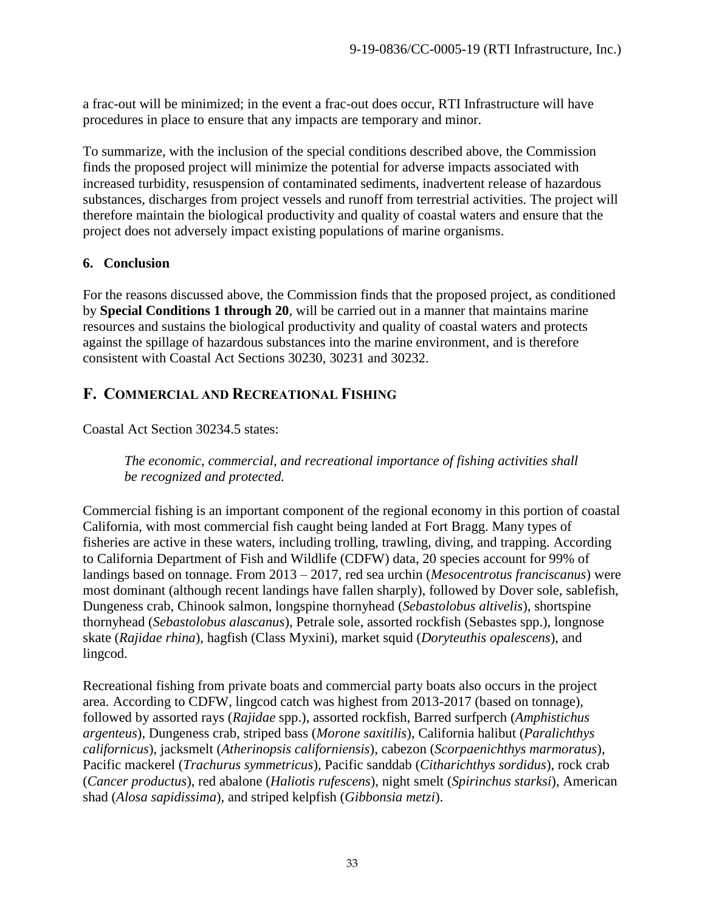a frac-out will be minimized; in the event a frac-out does occur, RTI Infrastructure will have procedures in place to ensure that any impacts are temporary and minor.

To summarize, with the inclusion of the special conditions described above, the Commission finds the proposed project will minimize the potential for adverse impacts associated with increased turbidity, resuspension of contaminated sediments, inadvertent release of hazardous substances, discharges from project vessels and runoff from terrestrial activities. The project will therefore maintain the biological productivity and quality of coastal waters and ensure that the project does not adversely impact existing populations of marine organisms.

## **6. Conclusion**

For the reasons discussed above, the Commission finds that the proposed project, as conditioned by **Special Conditions 1 through 20**, will be carried out in a manner that maintains marine resources and sustains the biological productivity and quality of coastal waters and protects against the spillage of hazardous substances into the marine environment, and is therefore consistent with Coastal Act Sections 30230, 30231 and 30232.

# <span id="page-32-0"></span>**F. COMMERCIAL AND RECREATIONAL FISHING**

Coastal Act Section 30234.5 states:

*The economic, commercial, and recreational importance of fishing activities shall be recognized and protected.*

Commercial fishing is an important component of the regional economy in this portion of coastal California, with most commercial fish caught being landed at Fort Bragg. Many types of fisheries are active in these waters, including trolling, trawling, diving, and trapping. According to California Department of Fish and Wildlife (CDFW) data, 20 species account for 99% of landings based on tonnage. From 2013 – 2017, red sea urchin (*Mesocentrotus franciscanus*) were most dominant (although recent landings have fallen sharply), followed by Dover sole, sablefish, Dungeness crab, Chinook salmon, longspine thornyhead (*Sebastolobus altivelis*), shortspine thornyhead (*Sebastolobus alascanus*), Petrale sole, assorted rockfish (Sebastes spp.), longnose skate (*Rajidae rhina*), hagfish (Class Myxini), market squid (*Doryteuthis opalescens*), and lingcod.

Recreational fishing from private boats and commercial party boats also occurs in the project area. According to CDFW, lingcod catch was highest from 2013-2017 (based on tonnage), followed by assorted rays (*Rajidae* spp.), assorted rockfish, Barred surfperch (*Amphistichus argenteus*), Dungeness crab, striped bass (*Morone saxitilis*), California halibut (*Paralichthys californicus*), jacksmelt (*Atherinopsis californiensis*), cabezon (*Scorpaenichthys marmoratus*), Pacific mackerel (*Trachurus symmetricus*), Pacific sanddab (*Citharichthys sordidus*), rock crab (*Cancer productus*), red abalone (*Haliotis rufescens*), night smelt (*Spirinchus starksi*), American shad (*Alosa sapidissima*), and striped kelpfish (*Gibbonsia metzi*).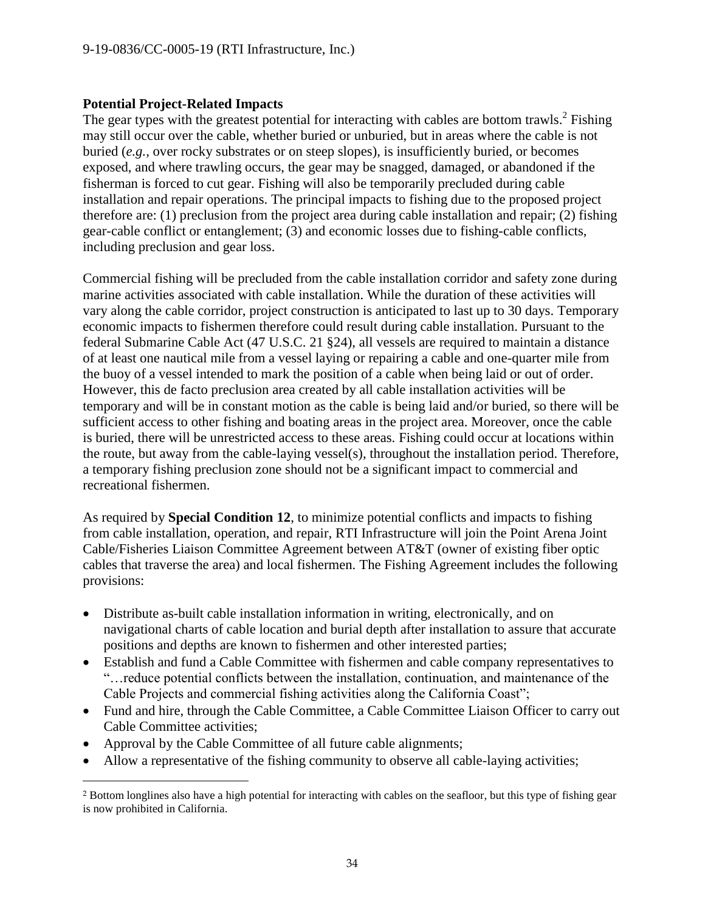#### **Potential Project-Related Impacts**

The gear types with the greatest potential for interacting with cables are bottom trawls.<sup>2</sup> Fishing may still occur over the cable, whether buried or unburied, but in areas where the cable is not buried (*e.g.,* over rocky substrates or on steep slopes), is insufficiently buried, or becomes exposed, and where trawling occurs, the gear may be snagged, damaged, or abandoned if the fisherman is forced to cut gear. Fishing will also be temporarily precluded during cable installation and repair operations. The principal impacts to fishing due to the proposed project therefore are: (1) preclusion from the project area during cable installation and repair; (2) fishing gear-cable conflict or entanglement; (3) and economic losses due to fishing-cable conflicts, including preclusion and gear loss.

Commercial fishing will be precluded from the cable installation corridor and safety zone during marine activities associated with cable installation. While the duration of these activities will vary along the cable corridor, project construction is anticipated to last up to 30 days. Temporary economic impacts to fishermen therefore could result during cable installation. Pursuant to the federal Submarine Cable Act (47 U.S.C. 21 §24), all vessels are required to maintain a distance of at least one nautical mile from a vessel laying or repairing a cable and one-quarter mile from the buoy of a vessel intended to mark the position of a cable when being laid or out of order. However, this de facto preclusion area created by all cable installation activities will be temporary and will be in constant motion as the cable is being laid and/or buried, so there will be sufficient access to other fishing and boating areas in the project area. Moreover, once the cable is buried, there will be unrestricted access to these areas. Fishing could occur at locations within the route, but away from the cable-laying vessel(s), throughout the installation period. Therefore, a temporary fishing preclusion zone should not be a significant impact to commercial and recreational fishermen.

As required by **Special Condition 12**, to minimize potential conflicts and impacts to fishing from cable installation, operation, and repair, RTI Infrastructure will join the Point Arena Joint Cable/Fisheries Liaison Committee Agreement between AT&T (owner of existing fiber optic cables that traverse the area) and local fishermen. The Fishing Agreement includes the following provisions:

- Distribute as-built cable installation information in writing, electronically, and on navigational charts of cable location and burial depth after installation to assure that accurate positions and depths are known to fishermen and other interested parties;
- Establish and fund a Cable Committee with fishermen and cable company representatives to "…reduce potential conflicts between the installation, continuation, and maintenance of the Cable Projects and commercial fishing activities along the California Coast";
- Fund and hire, through the Cable Committee, a Cable Committee Liaison Officer to carry out Cable Committee activities;
- Approval by the Cable Committee of all future cable alignments;

 $\overline{a}$ 

Allow a representative of the fishing community to observe all cable-laying activities;

<sup>2</sup> Bottom longlines also have a high potential for interacting with cables on the seafloor, but this type of fishing gear is now prohibited in California.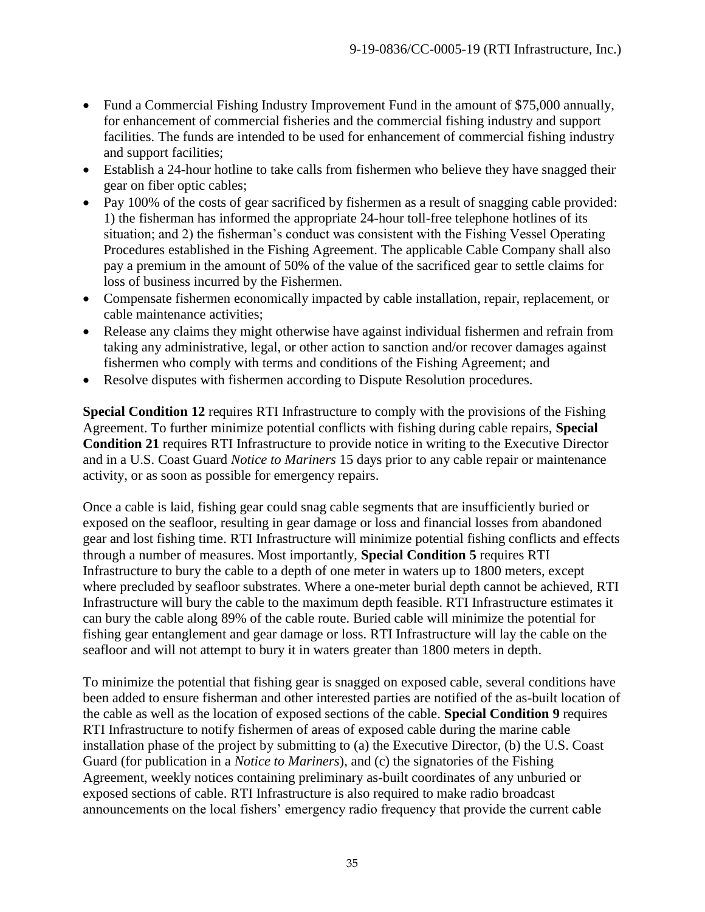- Fund a Commercial Fishing Industry Improvement Fund in the amount of \$75,000 annually, for enhancement of commercial fisheries and the commercial fishing industry and support facilities. The funds are intended to be used for enhancement of commercial fishing industry and support facilities;
- Establish a 24-hour hotline to take calls from fishermen who believe they have snagged their gear on fiber optic cables;
- Pay 100% of the costs of gear sacrificed by fishermen as a result of snagging cable provided: 1) the fisherman has informed the appropriate 24-hour toll-free telephone hotlines of its situation; and 2) the fisherman's conduct was consistent with the Fishing Vessel Operating Procedures established in the Fishing Agreement. The applicable Cable Company shall also pay a premium in the amount of 50% of the value of the sacrificed gear to settle claims for loss of business incurred by the Fishermen.
- Compensate fishermen economically impacted by cable installation, repair, replacement, or cable maintenance activities;
- Release any claims they might otherwise have against individual fishermen and refrain from taking any administrative, legal, or other action to sanction and/or recover damages against fishermen who comply with terms and conditions of the Fishing Agreement; and
- Resolve disputes with fishermen according to Dispute Resolution procedures.

**Special Condition 12** requires RTI Infrastructure to comply with the provisions of the Fishing Agreement. To further minimize potential conflicts with fishing during cable repairs, **Special Condition 21** requires RTI Infrastructure to provide notice in writing to the Executive Director and in a U.S. Coast Guard *Notice to Mariners* 15 days prior to any cable repair or maintenance activity, or as soon as possible for emergency repairs.

Once a cable is laid, fishing gear could snag cable segments that are insufficiently buried or exposed on the seafloor, resulting in gear damage or loss and financial losses from abandoned gear and lost fishing time. RTI Infrastructure will minimize potential fishing conflicts and effects through a number of measures. Most importantly, **Special Condition 5** requires RTI Infrastructure to bury the cable to a depth of one meter in waters up to 1800 meters, except where precluded by seafloor substrates. Where a one-meter burial depth cannot be achieved, RTI Infrastructure will bury the cable to the maximum depth feasible. RTI Infrastructure estimates it can bury the cable along 89% of the cable route. Buried cable will minimize the potential for fishing gear entanglement and gear damage or loss. RTI Infrastructure will lay the cable on the seafloor and will not attempt to bury it in waters greater than 1800 meters in depth.

To minimize the potential that fishing gear is snagged on exposed cable, several conditions have been added to ensure fisherman and other interested parties are notified of the as-built location of the cable as well as the location of exposed sections of the cable. **Special Condition 9** requires RTI Infrastructure to notify fishermen of areas of exposed cable during the marine cable installation phase of the project by submitting to (a) the Executive Director, (b) the U.S. Coast Guard (for publication in a *Notice to Mariners*), and (c) the signatories of the Fishing Agreement, weekly notices containing preliminary as-built coordinates of any unburied or exposed sections of cable. RTI Infrastructure is also required to make radio broadcast announcements on the local fishers' emergency radio frequency that provide the current cable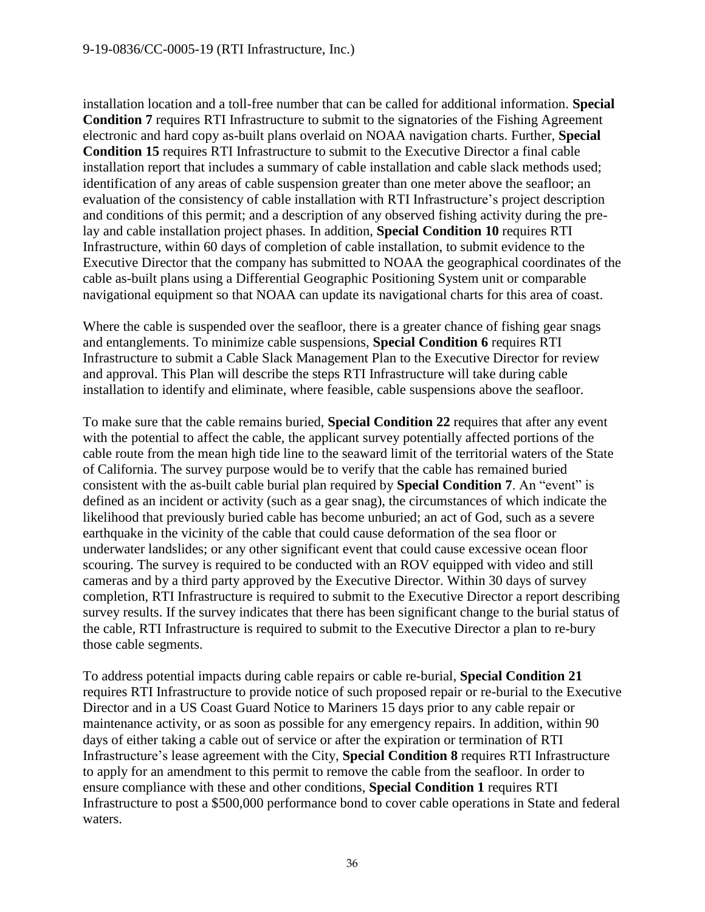installation location and a toll-free number that can be called for additional information. **Special Condition 7** requires RTI Infrastructure to submit to the signatories of the Fishing Agreement electronic and hard copy as-built plans overlaid on NOAA navigation charts. Further, **Special Condition 15** requires RTI Infrastructure to submit to the Executive Director a final cable installation report that includes a summary of cable installation and cable slack methods used; identification of any areas of cable suspension greater than one meter above the seafloor; an evaluation of the consistency of cable installation with RTI Infrastructure's project description and conditions of this permit; and a description of any observed fishing activity during the prelay and cable installation project phases. In addition, **Special Condition 10** requires RTI Infrastructure, within 60 days of completion of cable installation, to submit evidence to the Executive Director that the company has submitted to NOAA the geographical coordinates of the cable as-built plans using a Differential Geographic Positioning System unit or comparable navigational equipment so that NOAA can update its navigational charts for this area of coast.

Where the cable is suspended over the seafloor, there is a greater chance of fishing gear snags and entanglements. To minimize cable suspensions, **Special Condition 6** requires RTI Infrastructure to submit a Cable Slack Management Plan to the Executive Director for review and approval. This Plan will describe the steps RTI Infrastructure will take during cable installation to identify and eliminate, where feasible, cable suspensions above the seafloor.

To make sure that the cable remains buried, **Special Condition 22** requires that after any event with the potential to affect the cable, the applicant survey potentially affected portions of the cable route from the mean high tide line to the seaward limit of the territorial waters of the State of California. The survey purpose would be to verify that the cable has remained buried consistent with the as-built cable burial plan required by **Special Condition 7**. An "event" is defined as an incident or activity (such as a gear snag), the circumstances of which indicate the likelihood that previously buried cable has become unburied; an act of God, such as a severe earthquake in the vicinity of the cable that could cause deformation of the sea floor or underwater landslides; or any other significant event that could cause excessive ocean floor scouring. The survey is required to be conducted with an ROV equipped with video and still cameras and by a third party approved by the Executive Director. Within 30 days of survey completion, RTI Infrastructure is required to submit to the Executive Director a report describing survey results. If the survey indicates that there has been significant change to the burial status of the cable, RTI Infrastructure is required to submit to the Executive Director a plan to re-bury those cable segments.

To address potential impacts during cable repairs or cable re-burial, **Special Condition 21** requires RTI Infrastructure to provide notice of such proposed repair or re-burial to the Executive Director and in a US Coast Guard Notice to Mariners 15 days prior to any cable repair or maintenance activity, or as soon as possible for any emergency repairs. In addition, within 90 days of either taking a cable out of service or after the expiration or termination of RTI Infrastructure's lease agreement with the City, **Special Condition 8** requires RTI Infrastructure to apply for an amendment to this permit to remove the cable from the seafloor. In order to ensure compliance with these and other conditions, **Special Condition 1** requires RTI Infrastructure to post a \$500,000 performance bond to cover cable operations in State and federal waters.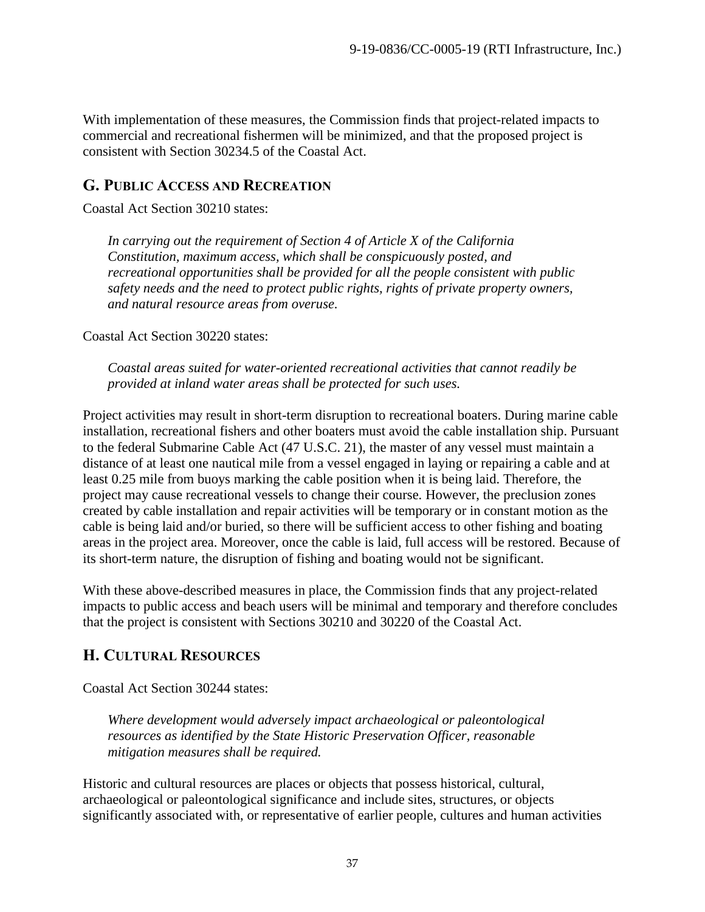With implementation of these measures, the Commission finds that project-related impacts to commercial and recreational fishermen will be minimized, and that the proposed project is consistent with Section 30234.5 of the Coastal Act.

# <span id="page-36-0"></span>**G. PUBLIC ACCESS AND RECREATION**

Coastal Act Section 30210 states:

*In carrying out the requirement of Section 4 of Article X of the California Constitution, maximum access, which shall be conspicuously posted, and recreational opportunities shall be provided for all the people consistent with public safety needs and the need to protect public rights, rights of private property owners, and natural resource areas from overuse.*

Coastal Act Section 30220 states:

*Coastal areas suited for water-oriented recreational activities that cannot readily be provided at inland water areas shall be protected for such uses.*

Project activities may result in short-term disruption to recreational boaters. During marine cable installation, recreational fishers and other boaters must avoid the cable installation ship. Pursuant to the federal Submarine Cable Act (47 U.S.C. 21), the master of any vessel must maintain a distance of at least one nautical mile from a vessel engaged in laying or repairing a cable and at least 0.25 mile from buoys marking the cable position when it is being laid. Therefore, the project may cause recreational vessels to change their course. However, the preclusion zones created by cable installation and repair activities will be temporary or in constant motion as the cable is being laid and/or buried, so there will be sufficient access to other fishing and boating areas in the project area. Moreover, once the cable is laid, full access will be restored. Because of its short-term nature, the disruption of fishing and boating would not be significant.

With these above-described measures in place, the Commission finds that any project-related impacts to public access and beach users will be minimal and temporary and therefore concludes that the project is consistent with Sections 30210 and 30220 of the Coastal Act.

# <span id="page-36-1"></span>**H. CULTURAL RESOURCES**

Coastal Act Section 30244 states:

*Where development would adversely impact archaeological or paleontological resources as identified by the State Historic Preservation Officer, reasonable mitigation measures shall be required.* 

Historic and cultural resources are places or objects that possess historical, cultural, archaeological or paleontological significance and include sites, structures, or objects significantly associated with, or representative of earlier people, cultures and human activities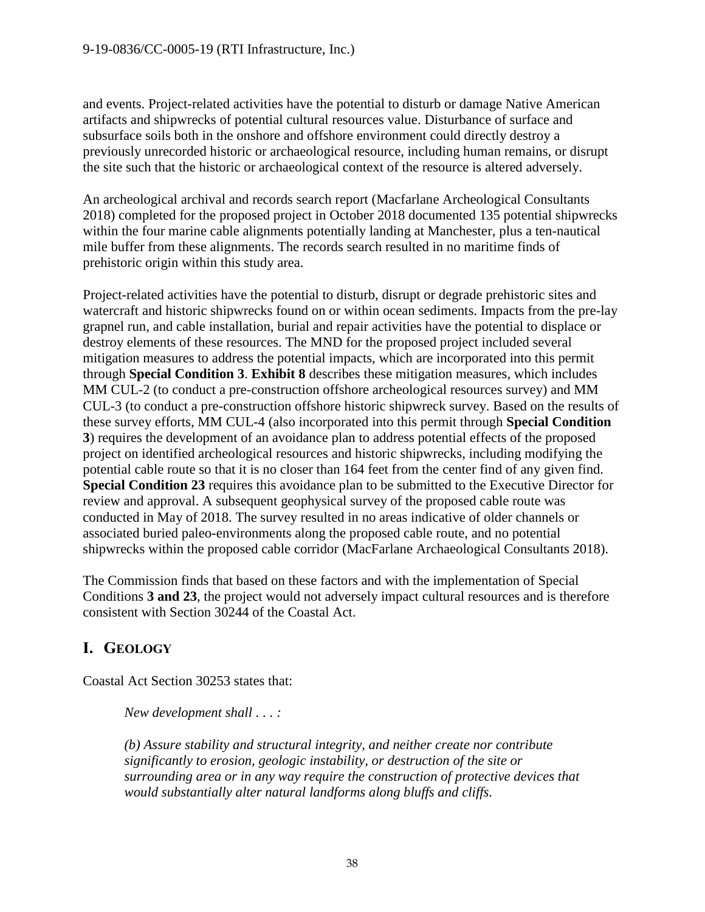and events. Project-related activities have the potential to disturb or damage Native American artifacts and shipwrecks of potential cultural resources value. Disturbance of surface and subsurface soils both in the onshore and offshore environment could directly destroy a previously unrecorded historic or archaeological resource, including human remains, or disrupt the site such that the historic or archaeological context of the resource is altered adversely.

An archeological archival and records search report (Macfarlane Archeological Consultants 2018) completed for the proposed project in October 2018 documented 135 potential shipwrecks within the four marine cable alignments potentially landing at Manchester, plus a ten-nautical mile buffer from these alignments. The records search resulted in no maritime finds of prehistoric origin within this study area.

Project-related activities have the potential to disturb, disrupt or degrade prehistoric sites and watercraft and historic shipwrecks found on or within ocean sediments. Impacts from the pre-lay grapnel run, and cable installation, burial and repair activities have the potential to displace or destroy elements of these resources. The MND for the proposed project included several mitigation measures to address the potential impacts, which are incorporated into this permit through **Special Condition 3**. **Exhibit 8** describes these mitigation measures, which includes MM CUL-2 (to conduct a pre-construction offshore archeological resources survey) and MM CUL-3 (to conduct a pre-construction offshore historic shipwreck survey. Based on the results of these survey efforts, MM CUL-4 (also incorporated into this permit through **Special Condition 3**) requires the development of an avoidance plan to address potential effects of the proposed project on identified archeological resources and historic shipwrecks, including modifying the potential cable route so that it is no closer than 164 feet from the center find of any given find. **Special Condition 23** requires this avoidance plan to be submitted to the Executive Director for review and approval. A subsequent geophysical survey of the proposed cable route was conducted in May of 2018. The survey resulted in no areas indicative of older channels or associated buried paleo-environments along the proposed cable route, and no potential shipwrecks within the proposed cable corridor (MacFarlane Archaeological Consultants 2018).

The Commission finds that based on these factors and with the implementation of Special Conditions **3 and 23**, the project would not adversely impact cultural resources and is therefore consistent with Section 30244 of the Coastal Act.

# <span id="page-37-0"></span>**I. GEOLOGY**

Coastal Act Section 30253 states that:

*New development shall . . . :*

*(b) Assure stability and structural integrity, and neither create nor contribute significantly to erosion, geologic instability, or destruction of the site or surrounding area or in any way require the construction of protective devices that would substantially alter natural landforms along bluffs and cliffs.*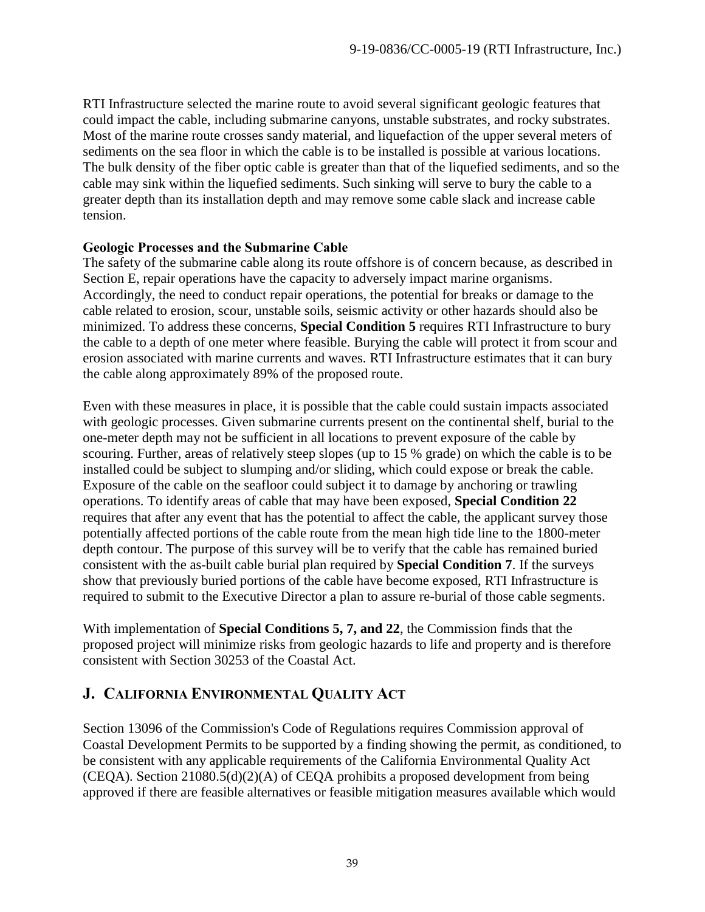RTI Infrastructure selected the marine route to avoid several significant geologic features that could impact the cable, including submarine canyons, unstable substrates, and rocky substrates. Most of the marine route crosses sandy material, and liquefaction of the upper several meters of sediments on the sea floor in which the cable is to be installed is possible at various locations. The bulk density of the fiber optic cable is greater than that of the liquefied sediments, and so the cable may sink within the liquefied sediments. Such sinking will serve to bury the cable to a greater depth than its installation depth and may remove some cable slack and increase cable tension.

## **Geologic Processes and the Submarine Cable**

The safety of the submarine cable along its route offshore is of concern because, as described in Section E, repair operations have the capacity to adversely impact marine organisms. Accordingly, the need to conduct repair operations, the potential for breaks or damage to the cable related to erosion, scour, unstable soils, seismic activity or other hazards should also be minimized. To address these concerns, **Special Condition 5** requires RTI Infrastructure to bury the cable to a depth of one meter where feasible. Burying the cable will protect it from scour and erosion associated with marine currents and waves. RTI Infrastructure estimates that it can bury the cable along approximately 89% of the proposed route.

Even with these measures in place, it is possible that the cable could sustain impacts associated with geologic processes. Given submarine currents present on the continental shelf, burial to the one-meter depth may not be sufficient in all locations to prevent exposure of the cable by scouring. Further, areas of relatively steep slopes (up to 15 % grade) on which the cable is to be installed could be subject to slumping and/or sliding, which could expose or break the cable. Exposure of the cable on the seafloor could subject it to damage by anchoring or trawling operations. To identify areas of cable that may have been exposed, **Special Condition 22** requires that after any event that has the potential to affect the cable, the applicant survey those potentially affected portions of the cable route from the mean high tide line to the 1800-meter depth contour. The purpose of this survey will be to verify that the cable has remained buried consistent with the as-built cable burial plan required by **Special Condition 7**. If the surveys show that previously buried portions of the cable have become exposed, RTI Infrastructure is required to submit to the Executive Director a plan to assure re-burial of those cable segments.

With implementation of **Special Conditions 5, 7, and 22**, the Commission finds that the proposed project will minimize risks from geologic hazards to life and property and is therefore consistent with Section 30253 of the Coastal Act.

# <span id="page-38-0"></span>**J. CALIFORNIA ENVIRONMENTAL QUALITY ACT**

Section 13096 of the Commission's Code of Regulations requires Commission approval of Coastal Development Permits to be supported by a finding showing the permit, as conditioned, to be consistent with any applicable requirements of the California Environmental Quality Act (CEQA). Section 21080.5(d)(2)(A) of CEQA prohibits a proposed development from being approved if there are feasible alternatives or feasible mitigation measures available which would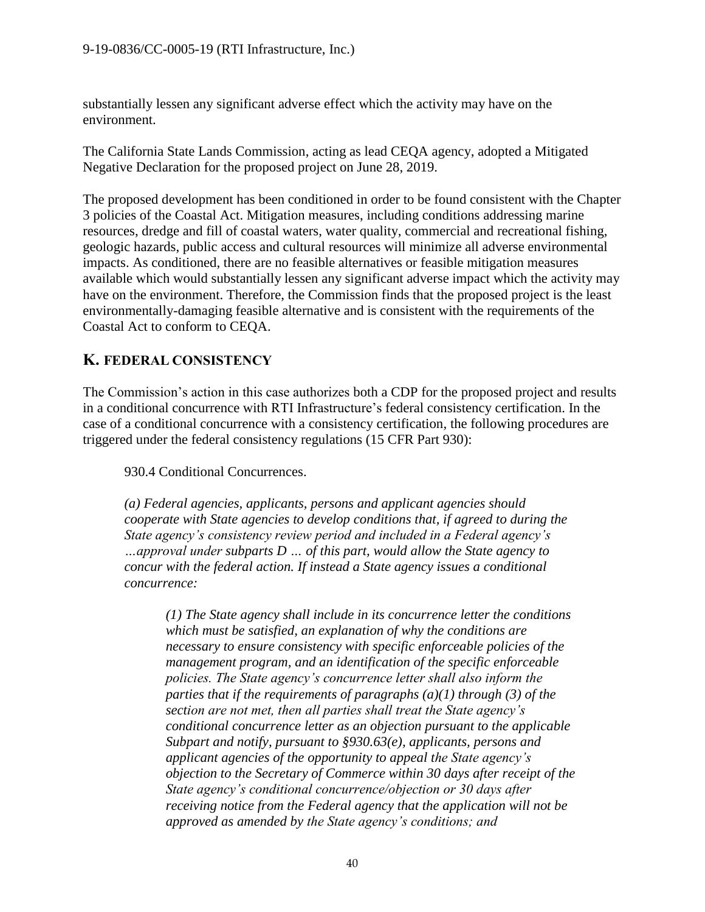substantially lessen any significant adverse effect which the activity may have on the environment.

The California State Lands Commission, acting as lead CEQA agency, adopted a Mitigated Negative Declaration for the proposed project on June 28, 2019.

The proposed development has been conditioned in order to be found consistent with the Chapter 3 policies of the Coastal Act. Mitigation measures, including conditions addressing marine resources, dredge and fill of coastal waters, water quality, commercial and recreational fishing, geologic hazards, public access and cultural resources will minimize all adverse environmental impacts. As conditioned, there are no feasible alternatives or feasible mitigation measures available which would substantially lessen any significant adverse impact which the activity may have on the environment. Therefore, the Commission finds that the proposed project is the least environmentally-damaging feasible alternative and is consistent with the requirements of the Coastal Act to conform to CEQA.

# <span id="page-39-0"></span>**K. FEDERAL CONSISTENCY**

The Commission's action in this case authorizes both a CDP for the proposed project and results in a conditional concurrence with RTI Infrastructure's federal consistency certification. In the case of a conditional concurrence with a consistency certification, the following procedures are triggered under the federal consistency regulations (15 CFR Part 930):

930.4 Conditional Concurrences.

*(a) Federal agencies, applicants, persons and applicant agencies should cooperate with State agencies to develop conditions that, if agreed to during the State agency's consistency review period and included in a Federal agency's …approval under subparts D … of this part, would allow the State agency to concur with the federal action. If instead a State agency issues a conditional concurrence:* 

*(1) The State agency shall include in its concurrence letter the conditions which must be satisfied, an explanation of why the conditions are necessary to ensure consistency with specific enforceable policies of the management program, and an identification of the specific enforceable policies. The State agency's concurrence letter shall also inform the parties that if the requirements of paragraphs (a)(1) through (3) of the section are not met, then all parties shall treat the State agency's conditional concurrence letter as an objection pursuant to the applicable Subpart and notify, pursuant to §930.63(e), applicants, persons and applicant agencies of the opportunity to appeal the State agency's objection to the Secretary of Commerce within 30 days after receipt of the State agency's conditional concurrence/objection or 30 days after receiving notice from the Federal agency that the application will not be approved as amended by the State agency's conditions; and*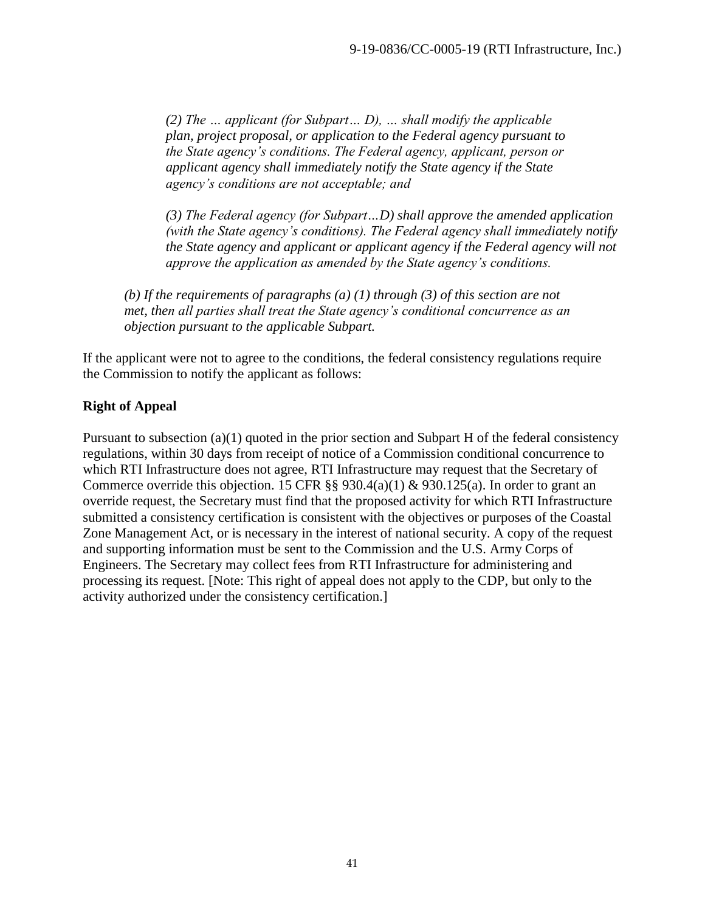*(2) The … applicant (for Subpart… D), … shall modify the applicable plan, project proposal, or application to the Federal agency pursuant to the State agency's conditions. The Federal agency, applicant, person or applicant agency shall immediately notify the State agency if the State agency's conditions are not acceptable; and*

*(3) The Federal agency (for Subpart…D) shall approve the amended application (with the State agency's conditions). The Federal agency shall immediately notify the State agency and applicant or applicant agency if the Federal agency will not approve the application as amended by the State agency's conditions.*

*(b) If the requirements of paragraphs (a) (1) through (3) of this section are not met, then all parties shall treat the State agency's conditional concurrence as an objection pursuant to the applicable Subpart.* 

If the applicant were not to agree to the conditions, the federal consistency regulations require the Commission to notify the applicant as follows:

## **Right of Appeal**

Pursuant to subsection (a)(1) quoted in the prior section and Subpart H of the federal consistency regulations, within 30 days from receipt of notice of a Commission conditional concurrence to which RTI Infrastructure does not agree, RTI Infrastructure may request that the Secretary of Commerce override this objection. 15 CFR  $\S$ § 930.4(a)(1) & 930.125(a). In order to grant an override request, the Secretary must find that the proposed activity for which RTI Infrastructure submitted a consistency certification is consistent with the objectives or purposes of the Coastal Zone Management Act, or is necessary in the interest of national security. A copy of the request and supporting information must be sent to the Commission and the U.S. Army Corps of Engineers. The Secretary may collect fees from RTI Infrastructure for administering and processing its request. [Note: This right of appeal does not apply to the CDP, but only to the activity authorized under the consistency certification.]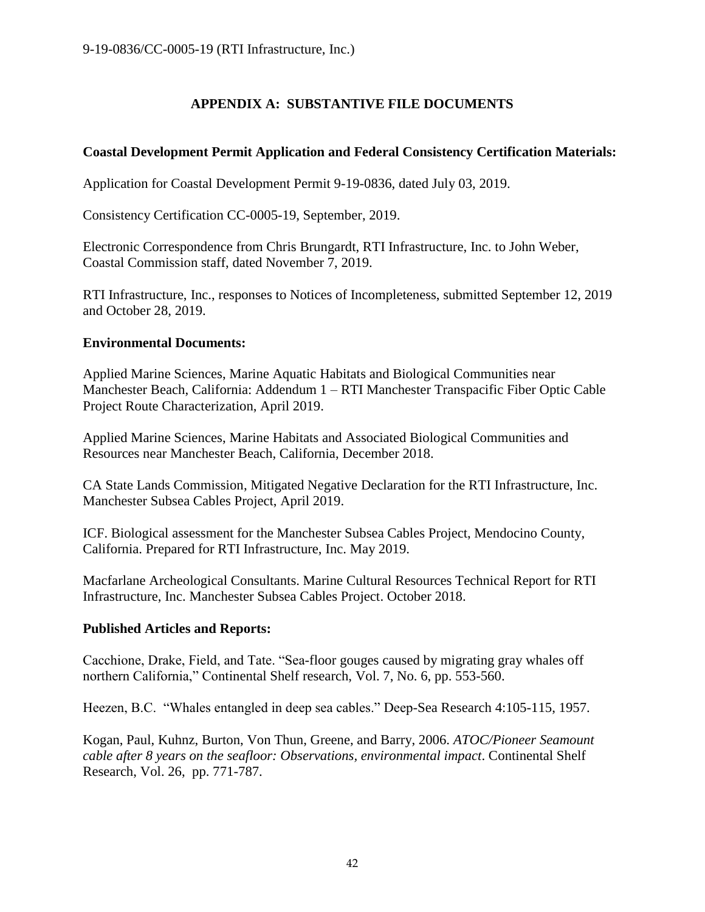# **APPENDIX A: SUBSTANTIVE FILE DOCUMENTS**

## <span id="page-41-0"></span>**Coastal Development Permit Application and Federal Consistency Certification Materials:**

Application for Coastal Development Permit 9-19-0836, dated July 03, 2019.

Consistency Certification CC-0005-19, September, 2019.

Electronic Correspondence from Chris Brungardt, RTI Infrastructure, Inc. to John Weber, Coastal Commission staff, dated November 7, 2019.

RTI Infrastructure, Inc., responses to Notices of Incompleteness, submitted September 12, 2019 and October 28, 2019.

#### **Environmental Documents:**

Applied Marine Sciences, Marine Aquatic Habitats and Biological Communities near Manchester Beach, California: Addendum 1 – RTI Manchester Transpacific Fiber Optic Cable Project Route Characterization, April 2019.

Applied Marine Sciences, Marine Habitats and Associated Biological Communities and Resources near Manchester Beach, California, December 2018.

CA State Lands Commission, Mitigated Negative Declaration for the RTI Infrastructure, Inc. Manchester Subsea Cables Project, April 2019.

ICF. Biological assessment for the Manchester Subsea Cables Project, Mendocino County, California. Prepared for RTI Infrastructure, Inc. May 2019.

Macfarlane Archeological Consultants. Marine Cultural Resources Technical Report for RTI Infrastructure, Inc. Manchester Subsea Cables Project. October 2018.

#### **Published Articles and Reports:**

Cacchione, Drake, Field, and Tate. "Sea-floor gouges caused by migrating gray whales off northern California," Continental Shelf research, Vol. 7, No. 6, pp. 553-560.

Heezen, B.C. "Whales entangled in deep sea cables." Deep-Sea Research 4:105-115, 1957.

Kogan, Paul, Kuhnz, Burton, Von Thun, Greene, and Barry, 2006. *ATOC/Pioneer Seamount cable after 8 years on the seafloor: Observations, environmental impact*. Continental Shelf Research, Vol. 26, pp. 771-787.